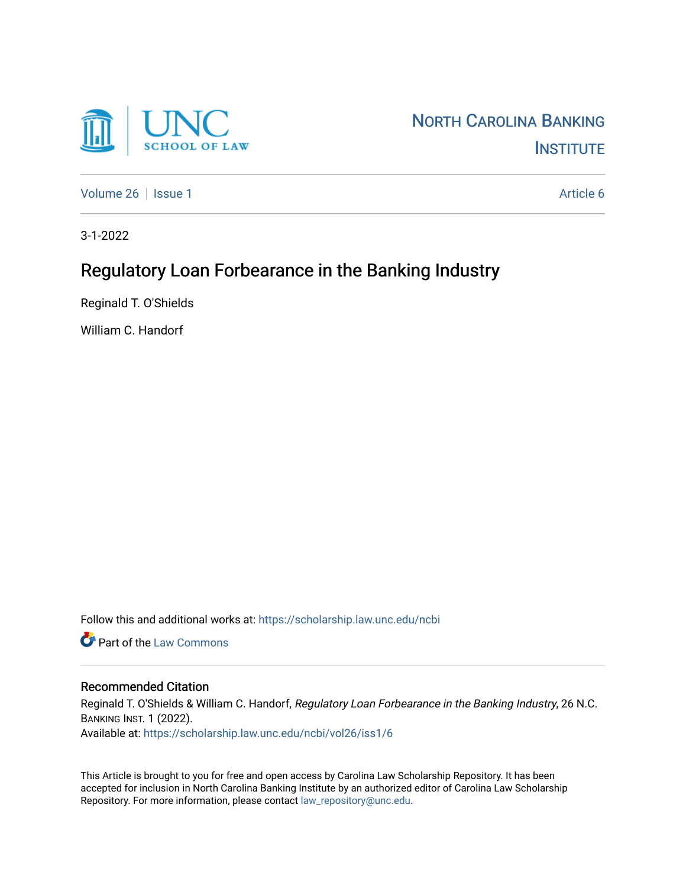

[Volume 26](https://scholarship.law.unc.edu/ncbi/vol26) | [Issue 1](https://scholarship.law.unc.edu/ncbi/vol26/iss1) Article 6

3-1-2022

# Regulatory Loan Forbearance in the Banking Industry

Reginald T. O'Shields

William C. Handorf

Follow this and additional works at: [https://scholarship.law.unc.edu/ncbi](https://scholarship.law.unc.edu/ncbi?utm_source=scholarship.law.unc.edu%2Fncbi%2Fvol26%2Fiss1%2F6&utm_medium=PDF&utm_campaign=PDFCoverPages)

**C** Part of the [Law Commons](https://network.bepress.com/hgg/discipline/578?utm_source=scholarship.law.unc.edu%2Fncbi%2Fvol26%2Fiss1%2F6&utm_medium=PDF&utm_campaign=PDFCoverPages)

#### Recommended Citation

Reginald T. O'Shields & William C. Handorf, Regulatory Loan Forbearance in the Banking Industry, 26 N.C. BANKING INST. 1 (2022). Available at: [https://scholarship.law.unc.edu/ncbi/vol26/iss1/6](https://scholarship.law.unc.edu/ncbi/vol26/iss1/6?utm_source=scholarship.law.unc.edu%2Fncbi%2Fvol26%2Fiss1%2F6&utm_medium=PDF&utm_campaign=PDFCoverPages) 

This Article is brought to you for free and open access by Carolina Law Scholarship Repository. It has been accepted for inclusion in North Carolina Banking Institute by an authorized editor of Carolina Law Scholarship Repository. For more information, please contact [law\\_repository@unc.edu](mailto:law_repository@unc.edu).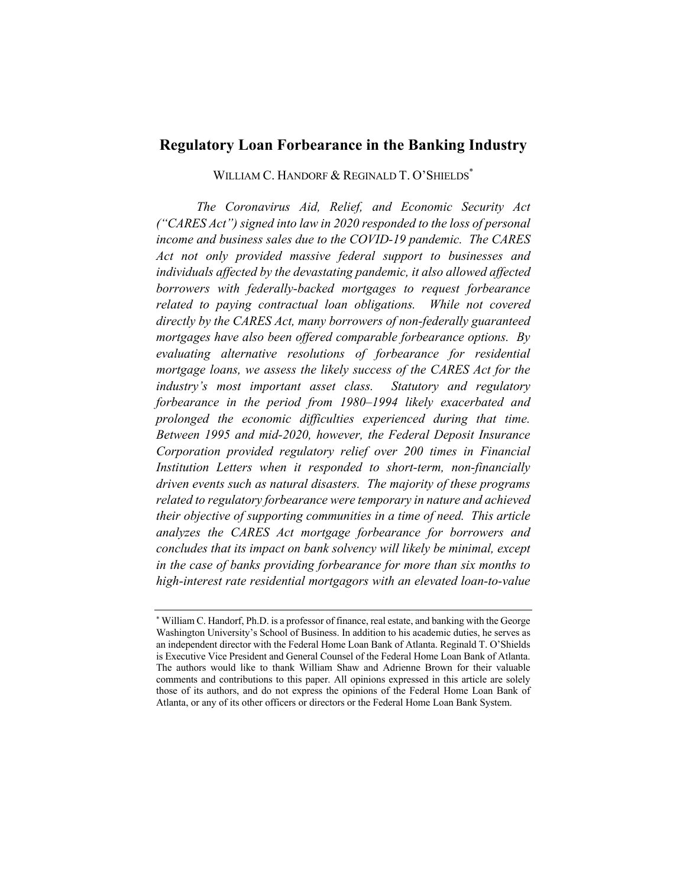# **Regulatory Loan Forbearance in the Banking Industry**

WILLIAM C. HANDORF & REGINALD T. O'SHIELDS<sup>\*</sup>

*The Coronavirus Aid, Relief, and Economic Security Act ("CARES Act") signed into law in 2020 responded to the loss of personal income and business sales due to the COVID-19 pandemic. The CARES Act not only provided massive federal support to businesses and individuals affected by the devastating pandemic, it also allowed affected borrowers with federally-backed mortgages to request forbearance related to paying contractual loan obligations. While not covered directly by the CARES Act, many borrowers of non-federally guaranteed mortgages have also been offered comparable forbearance options. By evaluating alternative resolutions of forbearance for residential mortgage loans, we assess the likely success of the CARES Act for the industry's most important asset class. Statutory and regulatory forbearance in the period from 1980–1994 likely exacerbated and prolonged the economic difficulties experienced during that time. Between 1995 and mid-2020, however, the Federal Deposit Insurance Corporation provided regulatory relief over 200 times in Financial Institution Letters when it responded to short-term, non-financially driven events such as natural disasters. The majority of these programs related to regulatory forbearance were temporary in nature and achieved their objective of supporting communities in a time of need. This article analyzes the CARES Act mortgage forbearance for borrowers and concludes that its impact on bank solvency will likely be minimal, except in the case of banks providing forbearance for more than six months to high-interest rate residential mortgagors with an elevated loan-to-value* 

<sup>\*</sup> William C. Handorf, Ph.D. is a professor of finance, real estate, and banking with the George Washington University's School of Business. In addition to his academic duties, he serves as an independent director with the Federal Home Loan Bank of Atlanta. Reginald T. O'Shields is Executive Vice President and General Counsel of the Federal Home Loan Bank of Atlanta. The authors would like to thank William Shaw and Adrienne Brown for their valuable comments and contributions to this paper. All opinions expressed in this article are solely those of its authors, and do not express the opinions of the Federal Home Loan Bank of Atlanta, or any of its other officers or directors or the Federal Home Loan Bank System.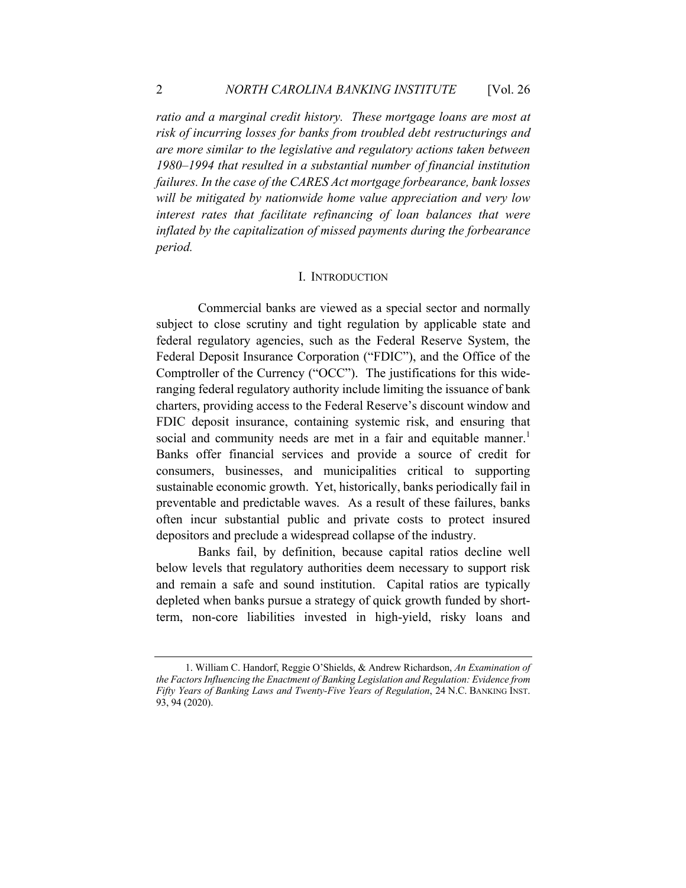*ratio and a marginal credit history. These mortgage loans are most at risk of incurring losses for banks from troubled debt restructurings and are more similar to the legislative and regulatory actions taken between 1980–1994 that resulted in a substantial number of financial institution failures. In the case of the CARES Act mortgage forbearance, bank losses will be mitigated by nationwide home value appreciation and very low interest rates that facilitate refinancing of loan balances that were inflated by the capitalization of missed payments during the forbearance period.*

#### I. INTRODUCTION

 Commercial banks are viewed as a special sector and normally subject to close scrutiny and tight regulation by applicable state and federal regulatory agencies, such as the Federal Reserve System, the Federal Deposit Insurance Corporation ("FDIC"), and the Office of the Comptroller of the Currency ("OCC"). The justifications for this wideranging federal regulatory authority include limiting the issuance of bank charters, providing access to the Federal Reserve's discount window and FDIC deposit insurance, containing systemic risk, and ensuring that social and community needs are met in a fair and equitable manner.<sup>1</sup> Banks offer financial services and provide a source of credit for consumers, businesses, and municipalities critical to supporting sustainable economic growth. Yet, historically, banks periodically fail in preventable and predictable waves. As a result of these failures, banks often incur substantial public and private costs to protect insured depositors and preclude a widespread collapse of the industry.

 Banks fail, by definition, because capital ratios decline well below levels that regulatory authorities deem necessary to support risk and remain a safe and sound institution. Capital ratios are typically depleted when banks pursue a strategy of quick growth funded by shortterm, non-core liabilities invested in high-yield, risky loans and

<sup>1.</sup> William C. Handorf, Reggie O'Shields, & Andrew Richardson, *An Examination of the Factors Influencing the Enactment of Banking Legislation and Regulation: Evidence from Fifty Years of Banking Laws and Twenty-Five Years of Regulation*, 24 N.C. BANKING INST. 93, 94 (2020).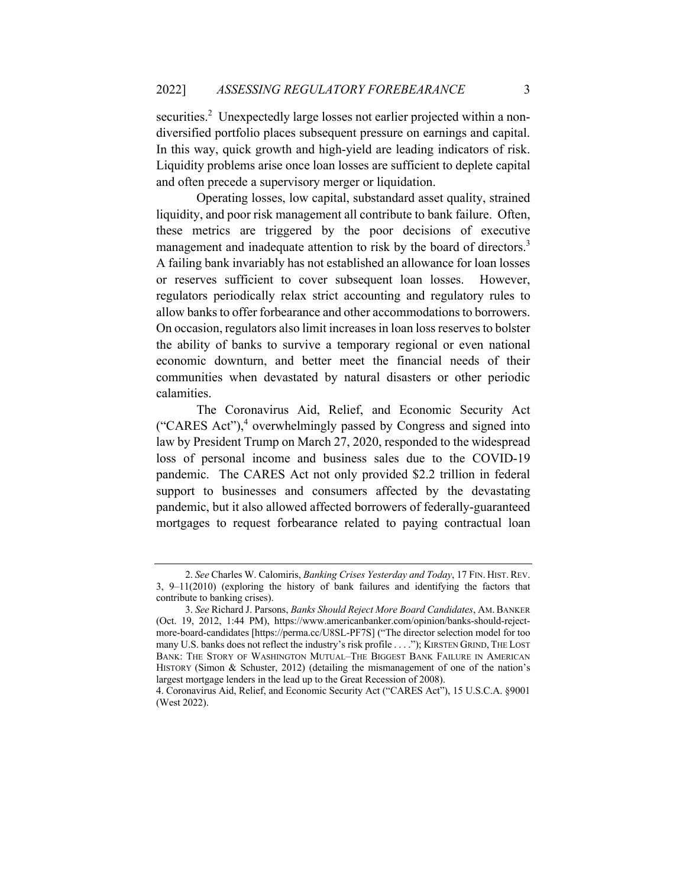securities.<sup>2</sup> Unexpectedly large losses not earlier projected within a nondiversified portfolio places subsequent pressure on earnings and capital. In this way, quick growth and high-yield are leading indicators of risk. Liquidity problems arise once loan losses are sufficient to deplete capital and often precede a supervisory merger or liquidation.

Operating losses, low capital, substandard asset quality, strained liquidity, and poor risk management all contribute to bank failure. Often, these metrics are triggered by the poor decisions of executive management and inadequate attention to risk by the board of directors.<sup>3</sup> A failing bank invariably has not established an allowance for loan losses or reserves sufficient to cover subsequent loan losses. However, regulators periodically relax strict accounting and regulatory rules to allow banks to offer forbearance and other accommodations to borrowers. On occasion, regulators also limit increases in loan loss reserves to bolster the ability of banks to survive a temporary regional or even national economic downturn, and better meet the financial needs of their communities when devastated by natural disasters or other periodic calamities.

The Coronavirus Aid, Relief, and Economic Security Act ("CARES Act"), $4$  overwhelmingly passed by Congress and signed into law by President Trump on March 27, 2020, responded to the widespread loss of personal income and business sales due to the COVID-19 pandemic. The CARES Act not only provided \$2.2 trillion in federal support to businesses and consumers affected by the devastating pandemic, but it also allowed affected borrowers of federally-guaranteed mortgages to request forbearance related to paying contractual loan

<sup>2.</sup> *See* Charles W. Calomiris, *Banking Crises Yesterday and Today*, 17 FIN. HIST. REV. 3, 9–11(2010) (exploring the history of bank failures and identifying the factors that contribute to banking crises).

<sup>3.</sup> *See* Richard J. Parsons, *Banks Should Reject More Board Candidates*, AM. BANKER (Oct. 19, 2012, 1:44 PM), https://www.americanbanker.com/opinion/banks-should-rejectmore-board-candidates [https://perma.cc/U8SL-PF7S] ("The director selection model for too many U.S. banks does not reflect the industry's risk profile . . . ."); KIRSTEN GRIND, THE LOST BANK: THE STORY OF WASHINGTON MUTUAL–THE BIGGEST BANK FAILURE IN AMERICAN HISTORY (Simon & Schuster, 2012) (detailing the mismanagement of one of the nation's largest mortgage lenders in the lead up to the Great Recession of 2008).

<sup>4.</sup> Coronavirus Aid, Relief, and Economic Security Act ("CARES Act"), 15 U.S.C.A. §9001 (West 2022).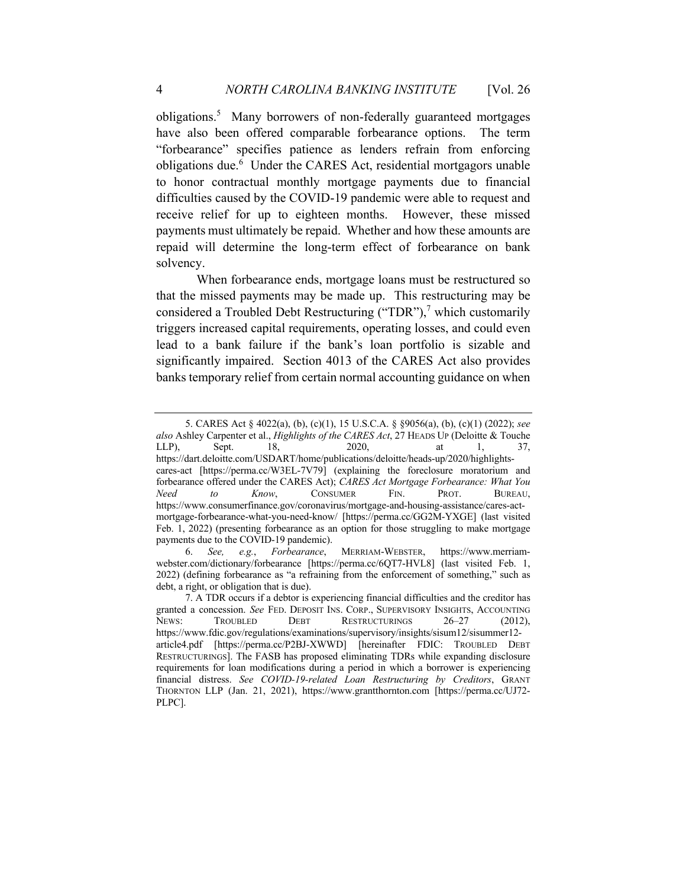obligations.<sup>5</sup> Many borrowers of non-federally guaranteed mortgages have also been offered comparable forbearance options. The term "forbearance" specifies patience as lenders refrain from enforcing obligations due.<sup>6</sup> Under the CARES Act, residential mortgagors unable to honor contractual monthly mortgage payments due to financial difficulties caused by the COVID-19 pandemic were able to request and receive relief for up to eighteen months. However, these missed payments must ultimately be repaid. Whether and how these amounts are repaid will determine the long-term effect of forbearance on bank solvency.

When forbearance ends, mortgage loans must be restructured so that the missed payments may be made up. This restructuring may be considered a Troubled Debt Restructuring ("TDR"),<sup>7</sup> which customarily triggers increased capital requirements, operating losses, and could even lead to a bank failure if the bank's loan portfolio is sizable and significantly impaired. Section 4013 of the CARES Act also provides banks temporary relief from certain normal accounting guidance on when

<sup>5.</sup> CARES Act § 4022(a), (b), (c)(1), 15 U.S.C.A. § §9056(a), (b), (c)(1) (2022); *see also* Ashley Carpenter et al., *Highlights of the CARES Act*, 27 HEADS UP (Deloitte & Touche LLP), Sept. 18, 2020, at 1, 37, https://dart.deloitte.com/USDART/home/publications/deloitte/heads-up/2020/highlightscares-act [https://perma.cc/W3EL-7V79] (explaining the foreclosure moratorium and forbearance offered under the CARES Act); *CARES Act Mortgage Forbearance: What You Need to Know*, CONSUMER FIN. PROT. BUREAU, https://www.consumerfinance.gov/coronavirus/mortgage-and-housing-assistance/cares-actmortgage-forbearance-what-you-need-know/ [https://perma.cc/GG2M-YXGE] (last visited Feb. 1, 2022) (presenting forbearance as an option for those struggling to make mortgage payments due to the COVID-19 pandemic).

<sup>6.</sup> *See, e.g.*, *Forbearance*, MERRIAM-WEBSTER, https://www.merriamwebster.com/dictionary/forbearance [https://perma.cc/6QT7-HVL8] (last visited Feb. 1, 2022) (defining forbearance as "a refraining from the enforcement of something," such as debt, a right, or obligation that is due).

<sup>7.</sup> A TDR occurs if a debtor is experiencing financial difficulties and the creditor has granted a concession. *See* FED. DEPOSIT INS. CORP., SUPERVISORY INSIGHTS, ACCOUNTING NEWS: TROUBLED DEBT RESTRUCTURINGS 26-27 (2012), https://www.fdic.gov/regulations/examinations/supervisory/insights/sisum12/sisummer12 article4.pdf [https://perma.cc/P2BJ-XWWD] [hereinafter FDIC: TROUBLED DEBT RESTRUCTURINGS]. The FASB has proposed eliminating TDRs while expanding disclosure requirements for loan modifications during a period in which a borrower is experiencing financial distress. *See COVID-19-related Loan Restructuring by Creditors*, GRANT THORNTON LLP (Jan. 21, 2021), https://www.grantthornton.com [https://perma.cc/UJ72- PLPC].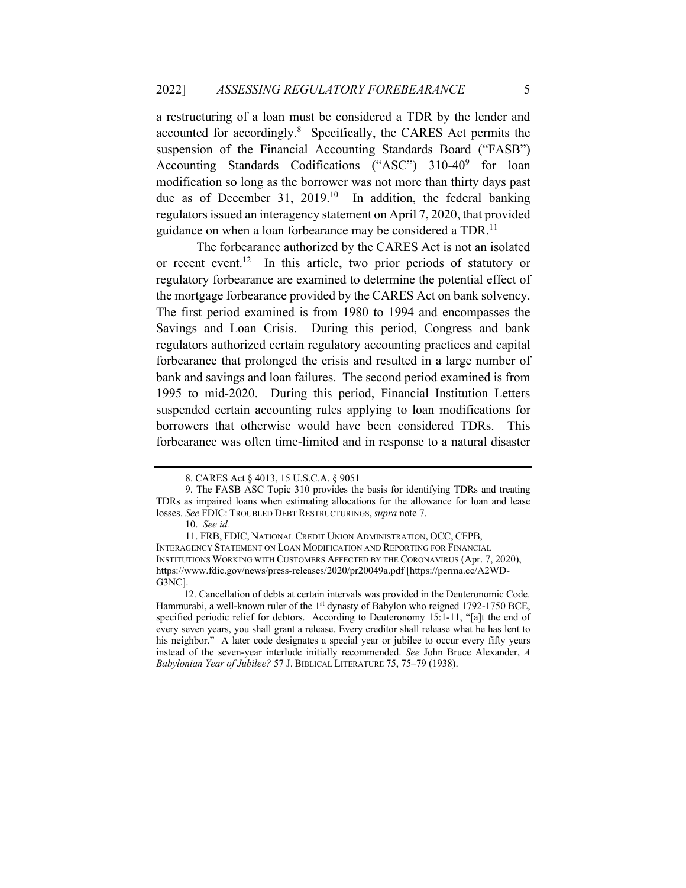a restructuring of a loan must be considered a TDR by the lender and accounted for accordingly.<sup>8</sup> Specifically, the CARES Act permits the suspension of the Financial Accounting Standards Board ("FASB") Accounting Standards Codifications ("ASC") 310-40<sup>9</sup> for loan modification so long as the borrower was not more than thirty days past due as of December 31,  $2019<sup>10</sup>$  In addition, the federal banking regulators issued an interagency statement on April 7, 2020, that provided guidance on when a loan forbearance may be considered a TDR.<sup>11</sup>

The forbearance authorized by the CARES Act is not an isolated or recent event.<sup>12</sup> In this article, two prior periods of statutory or regulatory forbearance are examined to determine the potential effect of the mortgage forbearance provided by the CARES Act on bank solvency. The first period examined is from 1980 to 1994 and encompasses the Savings and Loan Crisis. During this period, Congress and bank regulators authorized certain regulatory accounting practices and capital forbearance that prolonged the crisis and resulted in a large number of bank and savings and loan failures. The second period examined is from 1995 to mid-2020. During this period, Financial Institution Letters suspended certain accounting rules applying to loan modifications for borrowers that otherwise would have been considered TDRs. This forbearance was often time-limited and in response to a natural disaster

<sup>8.</sup> CARES Act § 4013, 15 U.S.C.A. § 9051

<sup>9.</sup> The FASB ASC Topic 310 provides the basis for identifying TDRs and treating TDRs as impaired loans when estimating allocations for the allowance for loan and lease losses. *See* FDIC: TROUBLED DEBT RESTRUCTURINGS,*supra* note 7.

<sup>10.</sup> *See id.* 

<sup>11.</sup> FRB, FDIC, NATIONAL CREDIT UNION ADMINISTRATION, OCC, CFPB, INTERAGENCY STATEMENT ON LOAN MODIFICATION AND REPORTING FOR FINANCIAL INSTITUTIONS WORKING WITH CUSTOMERS AFFECTED BY THE CORONAVIRUS (Apr. 7, 2020), https://www.fdic.gov/news/press-releases/2020/pr20049a.pdf [https://perma.cc/A2WD-G3NC].

 <sup>12.</sup> Cancellation of debts at certain intervals was provided in the Deuteronomic Code. Hammurabi, a well-known ruler of the 1<sup>st</sup> dynasty of Babylon who reigned 1792-1750 BCE, specified periodic relief for debtors. According to Deuteronomy 15:1-11, "[a]t the end of every seven years, you shall grant a release. Every creditor shall release what he has lent to his neighbor." A later code designates a special year or jubilee to occur every fifty years instead of the seven-year interlude initially recommended. *See* John Bruce Alexander, *A Babylonian Year of Jubilee?* 57 J. BIBLICAL LITERATURE 75, 75–79 (1938).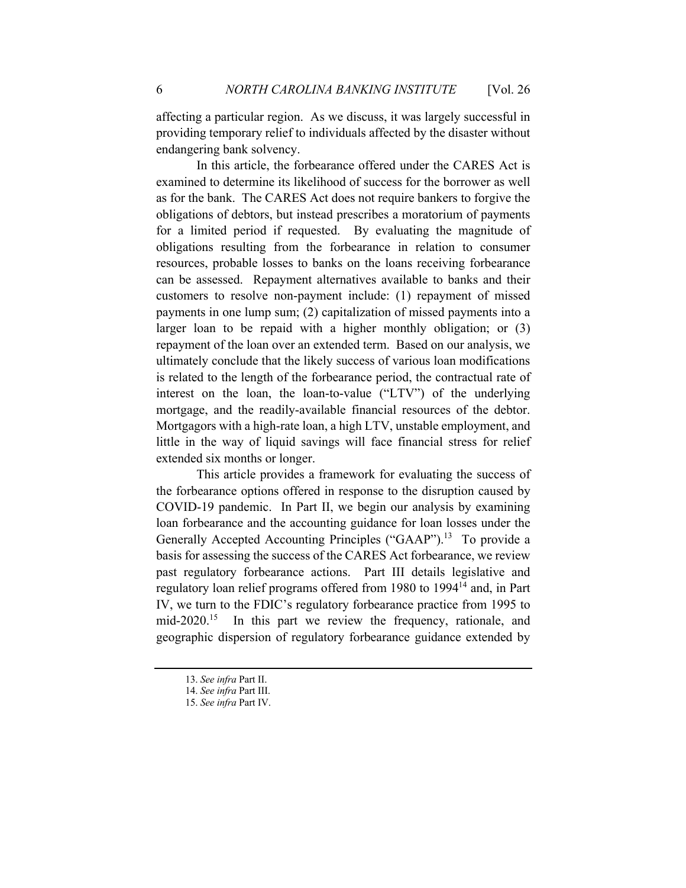affecting a particular region. As we discuss, it was largely successful in providing temporary relief to individuals affected by the disaster without endangering bank solvency.

In this article, the forbearance offered under the CARES Act is examined to determine its likelihood of success for the borrower as well as for the bank. The CARES Act does not require bankers to forgive the obligations of debtors, but instead prescribes a moratorium of payments for a limited period if requested. By evaluating the magnitude of obligations resulting from the forbearance in relation to consumer resources, probable losses to banks on the loans receiving forbearance can be assessed. Repayment alternatives available to banks and their customers to resolve non-payment include: (1) repayment of missed payments in one lump sum; (2) capitalization of missed payments into a larger loan to be repaid with a higher monthly obligation; or (3) repayment of the loan over an extended term. Based on our analysis, we ultimately conclude that the likely success of various loan modifications is related to the length of the forbearance period, the contractual rate of interest on the loan, the loan-to-value ("LTV") of the underlying mortgage, and the readily-available financial resources of the debtor. Mortgagors with a high-rate loan, a high LTV, unstable employment, and little in the way of liquid savings will face financial stress for relief extended six months or longer.

This article provides a framework for evaluating the success of the forbearance options offered in response to the disruption caused by COVID-19 pandemic. In Part II, we begin our analysis by examining loan forbearance and the accounting guidance for loan losses under the Generally Accepted Accounting Principles ("GAAP").<sup>13</sup> To provide a basis for assessing the success of the CARES Act forbearance, we review past regulatory forbearance actions. Part III details legislative and regulatory loan relief programs offered from 1980 to 1994<sup>14</sup> and, in Part IV, we turn to the FDIC's regulatory forbearance practice from 1995 to mid-2020.<sup>15</sup> In this part we review the frequency, rationale, and geographic dispersion of regulatory forbearance guidance extended by

<sup>13.</sup> *See infra* Part II.

<sup>14.</sup> *See infra* Part III.

<sup>15.</sup> *See infra* Part IV.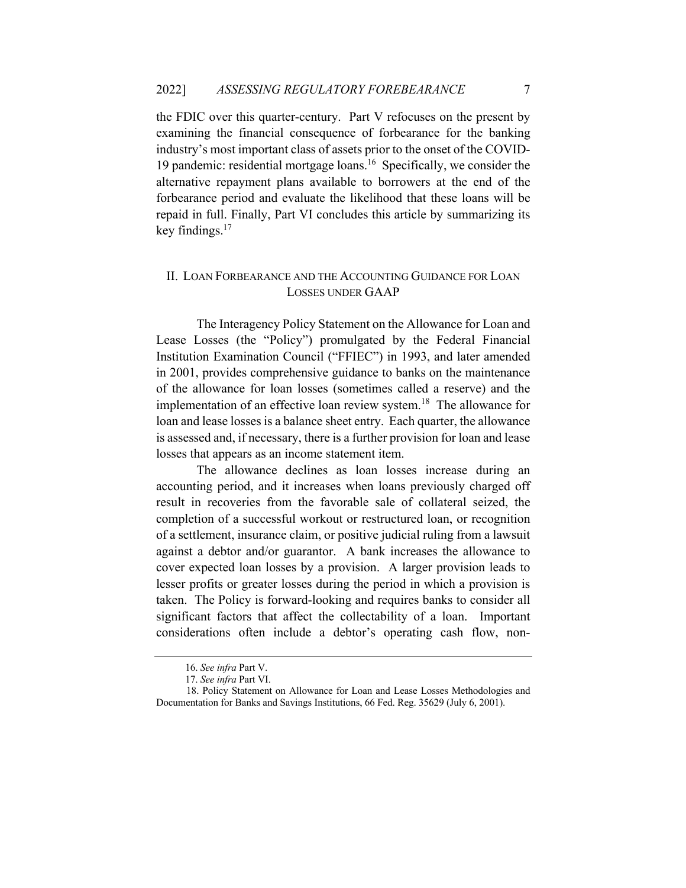the FDIC over this quarter-century. Part V refocuses on the present by examining the financial consequence of forbearance for the banking industry's most important class of assets prior to the onset of the COVID-19 pandemic: residential mortgage loans.<sup>16</sup> Specifically, we consider the alternative repayment plans available to borrowers at the end of the forbearance period and evaluate the likelihood that these loans will be repaid in full. Finally, Part VI concludes this article by summarizing its key findings. $17$ 

### II. LOAN FORBEARANCE AND THE ACCOUNTING GUIDANCE FOR LOAN LOSSES UNDER GAAP

The Interagency Policy Statement on the Allowance for Loan and Lease Losses (the "Policy") promulgated by the Federal Financial Institution Examination Council ("FFIEC") in 1993, and later amended in 2001, provides comprehensive guidance to banks on the maintenance of the allowance for loan losses (sometimes called a reserve) and the implementation of an effective loan review system.<sup>18</sup> The allowance for loan and lease losses is a balance sheet entry. Each quarter, the allowance is assessed and, if necessary, there is a further provision for loan and lease losses that appears as an income statement item.

The allowance declines as loan losses increase during an accounting period, and it increases when loans previously charged off result in recoveries from the favorable sale of collateral seized, the completion of a successful workout or restructured loan, or recognition of a settlement, insurance claim, or positive judicial ruling from a lawsuit against a debtor and/or guarantor. A bank increases the allowance to cover expected loan losses by a provision. A larger provision leads to lesser profits or greater losses during the period in which a provision is taken. The Policy is forward-looking and requires banks to consider all significant factors that affect the collectability of a loan. Important considerations often include a debtor's operating cash flow, non-

<sup>16.</sup> *See infra* Part V.

<sup>17.</sup> *See infra* Part VI.

 <sup>18.</sup> Policy Statement on Allowance for Loan and Lease Losses Methodologies and Documentation for Banks and Savings Institutions, 66 Fed. Reg. 35629 (July 6, 2001).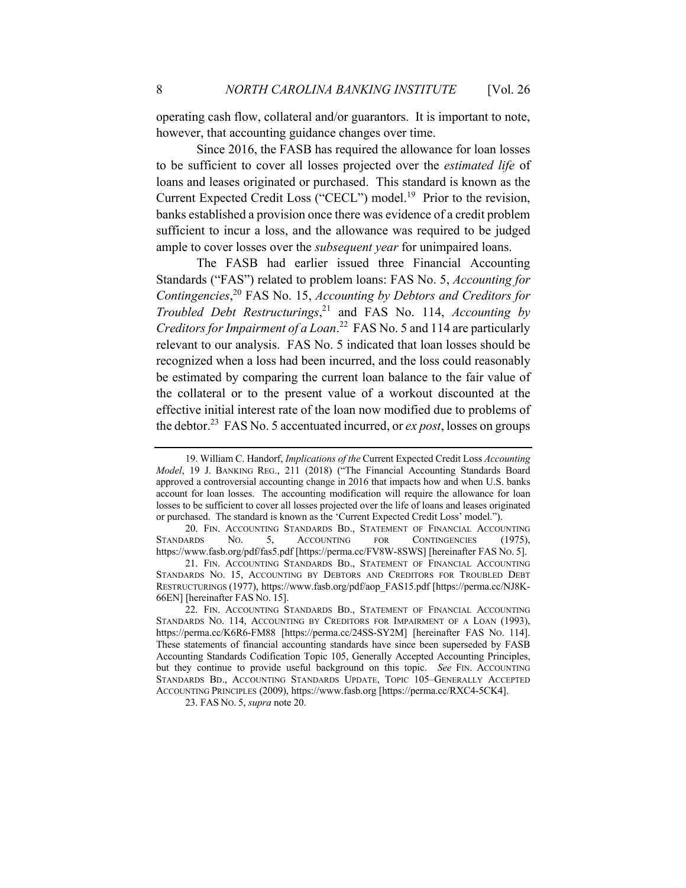operating cash flow, collateral and/or guarantors. It is important to note, however, that accounting guidance changes over time.

Since 2016, the FASB has required the allowance for loan losses to be sufficient to cover all losses projected over the *estimated life* of loans and leases originated or purchased. This standard is known as the Current Expected Credit Loss ("CECL") model.<sup>19</sup> Prior to the revision, banks established a provision once there was evidence of a credit problem sufficient to incur a loss, and the allowance was required to be judged ample to cover losses over the *subsequent year* for unimpaired loans.

The FASB had earlier issued three Financial Accounting Standards ("FAS") related to problem loans: FAS No. 5, *Accounting for Contingencies*, <sup>20</sup> FAS No. 15, *Accounting by Debtors and Creditors for Troubled Debt Restructurings*, <sup>21</sup> and FAS No. 114, *Accounting by Creditors for Impairment of a Loan*. 22 FAS No. 5 and 114 are particularly relevant to our analysis. FAS No. 5 indicated that loan losses should be recognized when a loss had been incurred, and the loss could reasonably be estimated by comparing the current loan balance to the fair value of the collateral or to the present value of a workout discounted at the effective initial interest rate of the loan now modified due to problems of the debtor.23 FAS No. 5 accentuated incurred, or *ex post*, losses on groups

<sup>19.</sup> William C. Handorf, *Implications of the* Current Expected Credit Loss *Accounting Model*, 19 J. BANKING REG., 211 (2018) ("The Financial Accounting Standards Board approved a controversial accounting change in 2016 that impacts how and when U.S. banks account for loan losses. The accounting modification will require the allowance for loan losses to be sufficient to cover all losses projected over the life of loans and leases originated or purchased. The standard is known as the 'Current Expected Credit Loss' model.").

<sup>20.</sup> FIN. ACCOUNTING STANDARDS BD., STATEMENT OF FINANCIAL ACCOUNTING STANDARDS NO. 5, ACCOUNTING FOR CONTINGENCIES (1975), https://www.fasb.org/pdf/fas5.pdf [https://perma.cc/FV8W-8SWS] [hereinafter FAS NO. 5].

<sup>21.</sup> FIN. ACCOUNTING STANDARDS BD., STATEMENT OF FINANCIAL ACCOUNTING STANDARDS NO. 15, ACCOUNTING BY DEBTORS AND CREDITORS FOR TROUBLED DEBT RESTRUCTURINGS (1977), https://www.fasb.org/pdf/aop\_FAS15.pdf [https://perma.cc/NJ8K-66EN] [hereinafter FAS NO. 15].

<sup>22.</sup> FIN. ACCOUNTING STANDARDS BD., STATEMENT OF FINANCIAL ACCOUNTING STANDARDS NO. 114, ACCOUNTING BY CREDITORS FOR IMPAIRMENT OF A LOAN (1993), https://perma.cc/K6R6-FM88 [https://perma.cc/24SS-SY2M] [hereinafter FAS NO. 114]. These statements of financial accounting standards have since been superseded by FASB Accounting Standards Codification Topic 105, Generally Accepted Accounting Principles, but they continue to provide useful background on this topic. *See* FIN. ACCOUNTING STANDARDS BD., ACCOUNTING STANDARDS UPDATE, TOPIC 105–GENERALLY ACCEPTED ACCOUNTING PRINCIPLES (2009), https://www.fasb.org [https://perma.cc/RXC4-5CK4].

<sup>23.</sup> FAS NO. 5, *supra* note 20.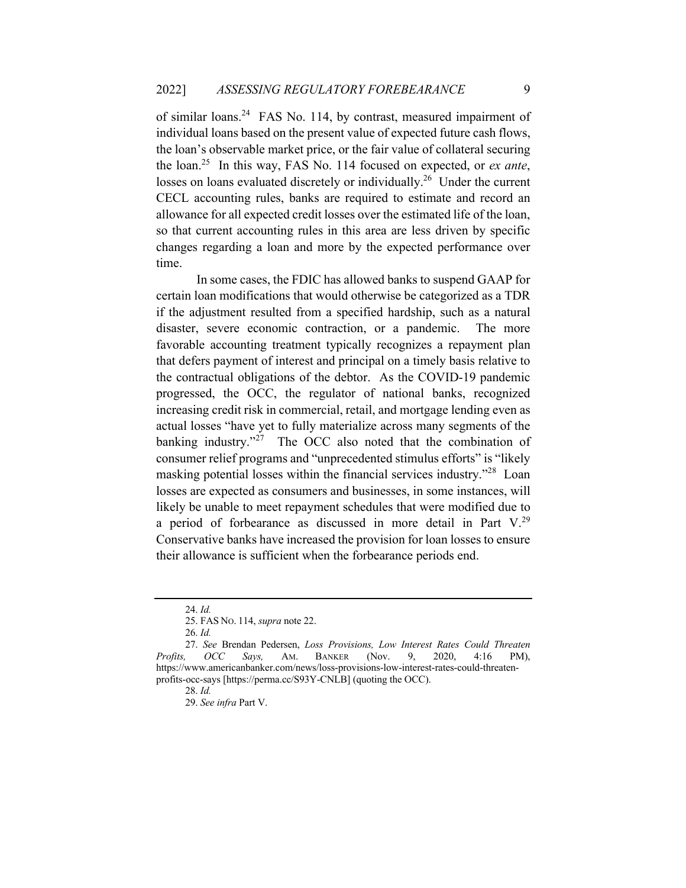of similar loans.<sup>24</sup> FAS No. 114, by contrast, measured impairment of individual loans based on the present value of expected future cash flows, the loan's observable market price, or the fair value of collateral securing the loan.25 In this way, FAS No. 114 focused on expected, or *ex ante*, losses on loans evaluated discretely or individually.<sup>26</sup> Under the current CECL accounting rules, banks are required to estimate and record an allowance for all expected credit losses over the estimated life of the loan, so that current accounting rules in this area are less driven by specific changes regarding a loan and more by the expected performance over time.

In some cases, the FDIC has allowed banks to suspend GAAP for certain loan modifications that would otherwise be categorized as a TDR if the adjustment resulted from a specified hardship, such as a natural disaster, severe economic contraction, or a pandemic. The more favorable accounting treatment typically recognizes a repayment plan that defers payment of interest and principal on a timely basis relative to the contractual obligations of the debtor. As the COVID-19 pandemic progressed, the OCC, the regulator of national banks, recognized increasing credit risk in commercial, retail, and mortgage lending even as actual losses "have yet to fully materialize across many segments of the banking industry."<sup>27</sup> The OCC also noted that the combination of consumer relief programs and "unprecedented stimulus efforts" is "likely masking potential losses within the financial services industry."<sup>28</sup> Loan losses are expected as consumers and businesses, in some instances, will likely be unable to meet repayment schedules that were modified due to a period of forbearance as discussed in more detail in Part V.<sup>29</sup> Conservative banks have increased the provision for loan losses to ensure their allowance is sufficient when the forbearance periods end.

<sup>24.</sup> *Id.*

<sup>25.</sup> FAS NO. 114, *supra* note 22.

<sup>26.</sup> *Id.*

<sup>27.</sup> *See* Brendan Pedersen, *Loss Provisions, Low Interest Rates Could Threaten Profits, OCC Says,* AM. BANKER (Nov. 9, 2020, 4:16 PM), https://www.americanbanker.com/news/loss-provisions-low-interest-rates-could-threatenprofits-occ-says [https://perma.cc/S93Y-CNLB] (quoting the OCC).

<sup>28.</sup> *Id.*

<sup>29.</sup> *See infra* Part V.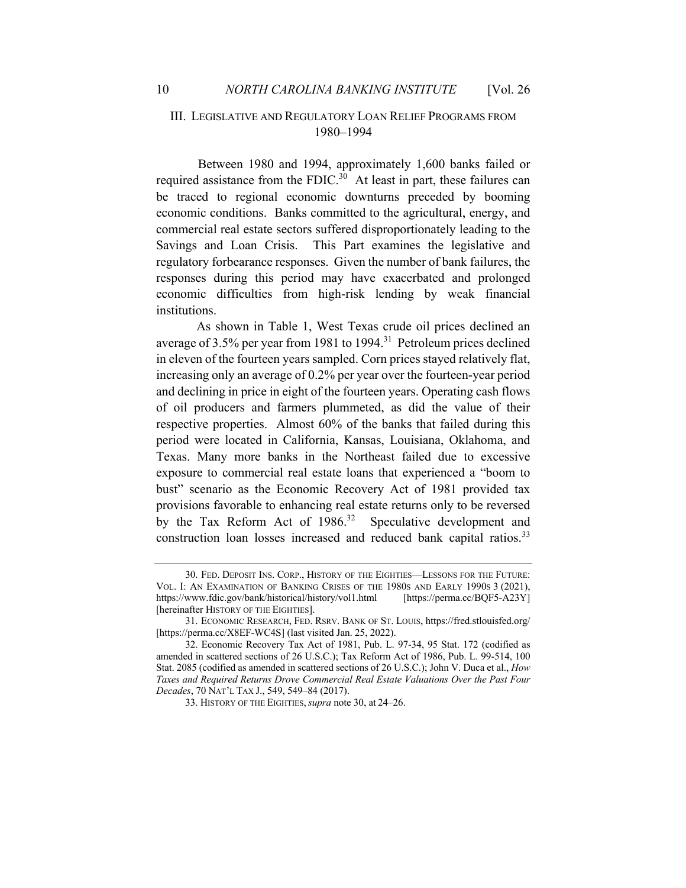### III. LEGISLATIVE AND REGULATORY LOAN RELIEF PROGRAMS FROM 1980–1994

 Between 1980 and 1994, approximately 1,600 banks failed or required assistance from the FDIC. $30$  At least in part, these failures can be traced to regional economic downturns preceded by booming economic conditions. Banks committed to the agricultural, energy, and commercial real estate sectors suffered disproportionately leading to the Savings and Loan Crisis. This Part examines the legislative and regulatory forbearance responses. Given the number of bank failures, the responses during this period may have exacerbated and prolonged economic difficulties from high-risk lending by weak financial institutions.

As shown in Table 1, West Texas crude oil prices declined an average of 3.5% per year from 1981 to 1994.<sup>31</sup> Petroleum prices declined in eleven of the fourteen years sampled. Corn prices stayed relatively flat, increasing only an average of 0.2% per year over the fourteen-year period and declining in price in eight of the fourteen years. Operating cash flows of oil producers and farmers plummeted, as did the value of their respective properties. Almost 60% of the banks that failed during this period were located in California, Kansas, Louisiana, Oklahoma, and Texas. Many more banks in the Northeast failed due to excessive exposure to commercial real estate loans that experienced a "boom to bust" scenario as the Economic Recovery Act of 1981 provided tax provisions favorable to enhancing real estate returns only to be reversed by the Tax Reform Act of  $1986$ <sup>32</sup> Speculative development and construction loan losses increased and reduced bank capital ratios.<sup>33</sup>

<sup>30.</sup> FED. DEPOSIT INS. CORP., HISTORY OF THE EIGHTIES—LESSONS FOR THE FUTURE: VOL. I: AN EXAMINATION OF BANKING CRISES OF THE 1980S AND EARLY 1990S 3 (2021), https://www.fdic.gov/bank/historical/history/vol1.html [https://perma.cc/BQF5-A23Y] [hereinafter HISTORY OF THE EIGHTIES].

<sup>31.</sup> ECONOMIC RESEARCH, FED. RSRV. BANK OF ST. LOUIS, https://fred.stlouisfed.org/ [https://perma.cc/X8EF-WC4S] (last visited Jan. 25, 2022).

<sup>32.</sup> Economic Recovery Tax Act of 1981, Pub. L. 97-34, 95 Stat. 172 (codified as amended in scattered sections of 26 U.S.C.); Tax Reform Act of 1986, Pub. L. 99-514, 100 Stat. 2085 (codified as amended in scattered sections of 26 U.S.C.); John V. Duca et al., *How Taxes and Required Returns Drove Commercial Real Estate Valuations Over the Past Four Decades*, 70 NAT'L TAX J., 549, 549–84 (2017).

<sup>33.</sup> HISTORY OF THE EIGHTIES,*supra* note 30, at 24–26.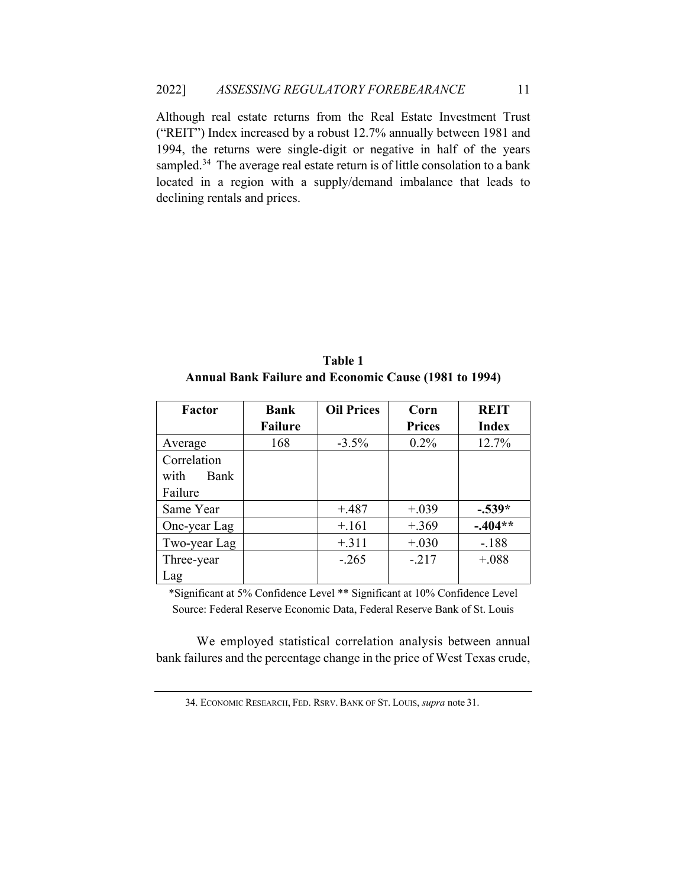Although real estate returns from the Real Estate Investment Trust ("REIT") Index increased by a robust 12.7% annually between 1981 and 1994, the returns were single-digit or negative in half of the years sampled.<sup>34</sup> The average real estate return is of little consolation to a bank located in a region with a supply/demand imbalance that leads to declining rentals and prices.

**Table 1 Annual Bank Failure and Economic Cause (1981 to 1994)**

| <b>Factor</b> | <b>Bank</b>    | <b>Oil Prices</b> | Corn          | <b>REIT</b>  |
|---------------|----------------|-------------------|---------------|--------------|
|               | <b>Failure</b> |                   | <b>Prices</b> | <b>Index</b> |
| Average       | 168            | $-3.5\%$          | $0.2\%$       | 12.7%        |
| Correlation   |                |                   |               |              |
| with<br>Bank  |                |                   |               |              |
| Failure       |                |                   |               |              |
| Same Year     |                | $+.487$           | $+.039$       | $-.539*$     |
| One-year Lag  |                | $+.161$           | $+.369$       | $-.404**$    |
| Two-year Lag  |                | $+.311$           | $+.030$       | $-.188$      |
| Three-year    |                | $-.265$           | $-.217$       | $+.088$      |
| Lag           |                |                   |               |              |

\*Significant at 5% Confidence Level \*\* Significant at 10% Confidence Level Source: Federal Reserve Economic Data, Federal Reserve Bank of St. Louis

We employed statistical correlation analysis between annual bank failures and the percentage change in the price of West Texas crude,

<sup>34.</sup> ECONOMIC RESEARCH, FED. RSRV. BANK OF ST. LOUIS, *supra* note 31.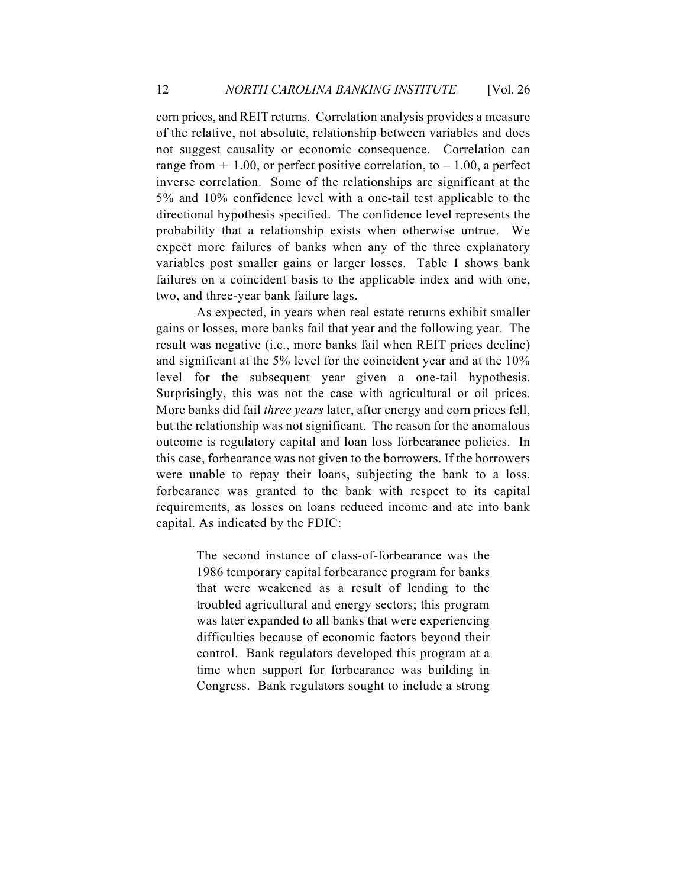corn prices, and REIT returns. Correlation analysis provides a measure of the relative, not absolute, relationship between variables and does not suggest causality or economic consequence. Correlation can range from  $+1.00$ , or perfect positive correlation, to  $-1.00$ , a perfect inverse correlation. Some of the relationships are significant at the 5% and 10% confidence level with a one-tail test applicable to the directional hypothesis specified. The confidence level represents the probability that a relationship exists when otherwise untrue. We expect more failures of banks when any of the three explanatory variables post smaller gains or larger losses. Table 1 shows bank failures on a coincident basis to the applicable index and with one, two, and three-year bank failure lags.

As expected, in years when real estate returns exhibit smaller gains or losses, more banks fail that year and the following year. The result was negative (i.e., more banks fail when REIT prices decline) and significant at the 5% level for the coincident year and at the 10% level for the subsequent year given a one-tail hypothesis. Surprisingly, this was not the case with agricultural or oil prices. More banks did fail *three years* later, after energy and corn prices fell, but the relationship was not significant. The reason for the anomalous outcome is regulatory capital and loan loss forbearance policies. In this case, forbearance was not given to the borrowers. If the borrowers were unable to repay their loans, subjecting the bank to a loss, forbearance was granted to the bank with respect to its capital requirements, as losses on loans reduced income and ate into bank capital. As indicated by the FDIC:

> The second instance of class-of-forbearance was the 1986 temporary capital forbearance program for banks that were weakened as a result of lending to the troubled agricultural and energy sectors; this program was later expanded to all banks that were experiencing difficulties because of economic factors beyond their control. Bank regulators developed this program at a time when support for forbearance was building in Congress. Bank regulators sought to include a strong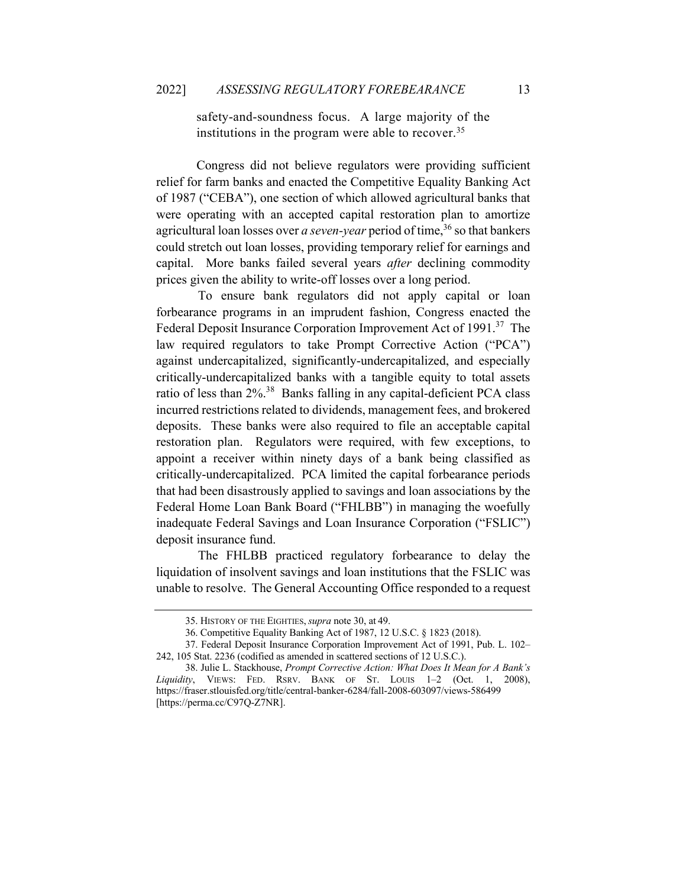safety-and-soundness focus. A large majority of the institutions in the program were able to recover.<sup>35</sup>

Congress did not believe regulators were providing sufficient relief for farm banks and enacted the Competitive Equality Banking Act of 1987 ("CEBA"), one section of which allowed agricultural banks that were operating with an accepted capital restoration plan to amortize agricultural loan losses over *a seven-year* period of time,<sup>36</sup> so that bankers could stretch out loan losses, providing temporary relief for earnings and capital. More banks failed several years *after* declining commodity prices given the ability to write-off losses over a long period.

 To ensure bank regulators did not apply capital or loan forbearance programs in an imprudent fashion, Congress enacted the Federal Deposit Insurance Corporation Improvement Act of 1991.<sup>37</sup> The law required regulators to take Prompt Corrective Action ("PCA") against undercapitalized, significantly-undercapitalized, and especially critically-undercapitalized banks with a tangible equity to total assets ratio of less than 2%.38 Banks falling in any capital-deficient PCA class incurred restrictions related to dividends, management fees, and brokered deposits. These banks were also required to file an acceptable capital restoration plan. Regulators were required, with few exceptions, to appoint a receiver within ninety days of a bank being classified as critically-undercapitalized. PCA limited the capital forbearance periods that had been disastrously applied to savings and loan associations by the Federal Home Loan Bank Board ("FHLBB") in managing the woefully inadequate Federal Savings and Loan Insurance Corporation ("FSLIC") deposit insurance fund.

 The FHLBB practiced regulatory forbearance to delay the liquidation of insolvent savings and loan institutions that the FSLIC was unable to resolve. The General Accounting Office responded to a request

<sup>35.</sup> HISTORY OF THE EIGHTIES,*supra* note 30, at 49.

<sup>36.</sup> Competitive Equality Banking Act of 1987, 12 U.S.C. § 1823 (2018).

<sup>37.</sup> Federal Deposit Insurance Corporation Improvement Act of 1991, Pub. L. 102– 242, 105 Stat. 2236 (codified as amended in scattered sections of 12 U.S.C.).

<sup>38.</sup> Julie L. Stackhouse, *Prompt Corrective Action: What Does It Mean for A Bank's Liquidity*, VIEWS: FED. RSRV. BANK OF ST. LOUIS 1–2 (Oct. 1, 2008), https://fraser.stlouisfed.org/title/central-banker-6284/fall-2008-603097/views-586499 [https://perma.cc/C97Q-Z7NR].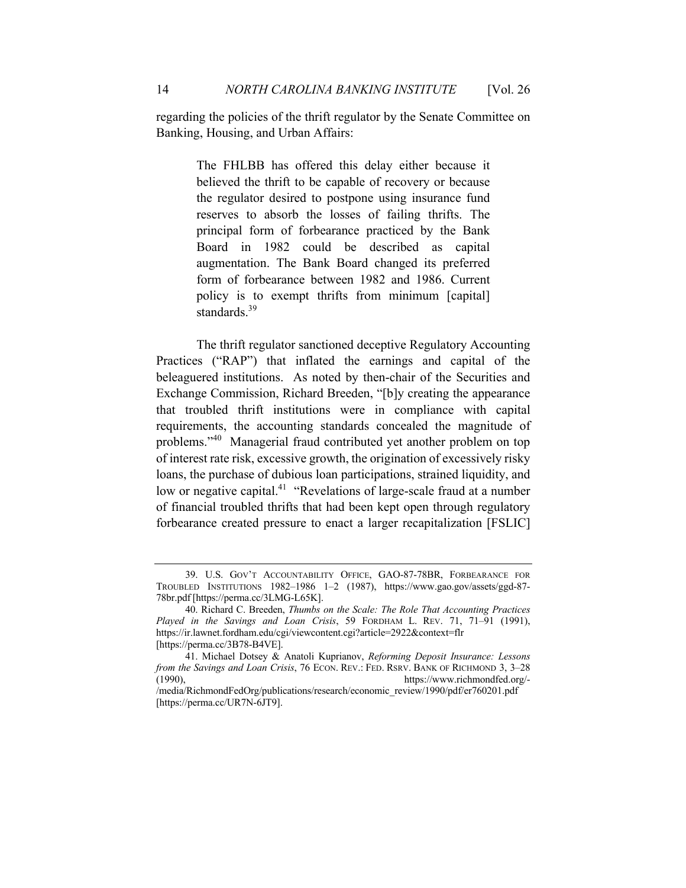regarding the policies of the thrift regulator by the Senate Committee on Banking, Housing, and Urban Affairs:

> The FHLBB has offered this delay either because it believed the thrift to be capable of recovery or because the regulator desired to postpone using insurance fund reserves to absorb the losses of failing thrifts. The principal form of forbearance practiced by the Bank Board in 1982 could be described as capital augmentation. The Bank Board changed its preferred form of forbearance between 1982 and 1986. Current policy is to exempt thrifts from minimum [capital] standards.<sup>39</sup>

The thrift regulator sanctioned deceptive Regulatory Accounting Practices ("RAP") that inflated the earnings and capital of the beleaguered institutions. As noted by then-chair of the Securities and Exchange Commission, Richard Breeden, "[b]y creating the appearance that troubled thrift institutions were in compliance with capital requirements, the accounting standards concealed the magnitude of problems."40 Managerial fraud contributed yet another problem on top of interest rate risk, excessive growth, the origination of excessively risky loans, the purchase of dubious loan participations, strained liquidity, and low or negative capital.<sup>41</sup> "Revelations of large-scale fraud at a number of financial troubled thrifts that had been kept open through regulatory forbearance created pressure to enact a larger recapitalization [FSLIC]

<sup>39.</sup> U.S. GOV'T ACCOUNTABILITY OFFICE, GAO-87-78BR, FORBEARANCE FOR TROUBLED INSTITUTIONS 1982–1986 1–2 (1987), https://www.gao.gov/assets/ggd-87- 78br.pdf [https://perma.cc/3LMG-L65K].

<sup>40.</sup> Richard C. Breeden, *Thumbs on the Scale: The Role That Accounting Practices Played in the Savings and Loan Crisis*, 59 FORDHAM L. REV. 71, 71–91 (1991), https://ir.lawnet.fordham.edu/cgi/viewcontent.cgi?article=2922&context=flr [https://perma.cc/3B78-B4VE].

<sup>41.</sup> Michael Dotsey & Anatoli Kuprianov, *Reforming Deposit Insurance: Lessons from the Savings and Loan Crisis*, 76 ECON. REV.: FED. RSRV. BANK OF RICHMOND 3, 3–28 (1990), https://www.richmondfed.org/https://www.richmondfed.org/-

<sup>/</sup>media/RichmondFedOrg/publications/research/economic\_review/1990/pdf/er760201.pdf [https://perma.cc/UR7N-6JT9].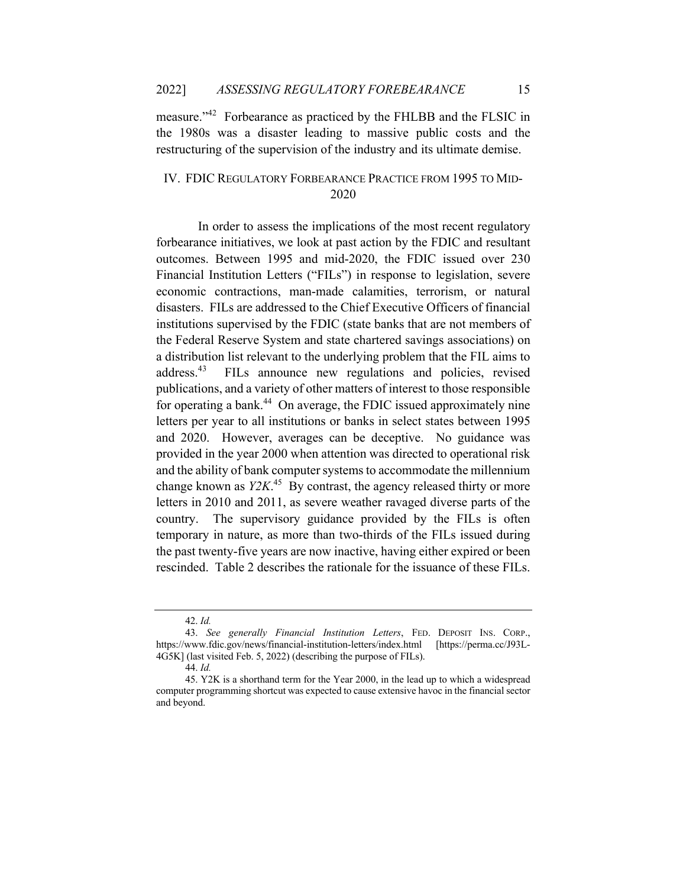measure."42 Forbearance as practiced by the FHLBB and the FLSIC in the 1980s was a disaster leading to massive public costs and the restructuring of the supervision of the industry and its ultimate demise.

# IV. FDIC REGULATORY FORBEARANCE PRACTICE FROM 1995 TO MID-2020

 In order to assess the implications of the most recent regulatory forbearance initiatives, we look at past action by the FDIC and resultant outcomes. Between 1995 and mid-2020, the FDIC issued over 230 Financial Institution Letters ("FILs") in response to legislation, severe economic contractions, man-made calamities, terrorism, or natural disasters. FILs are addressed to the Chief Executive Officers of financial institutions supervised by the FDIC (state banks that are not members of the Federal Reserve System and state chartered savings associations) on a distribution list relevant to the underlying problem that the FIL aims to address.43 FILs announce new regulations and policies, revised publications, and a variety of other matters of interest to those responsible for operating a bank.<sup>44</sup> On average, the FDIC issued approximately nine letters per year to all institutions or banks in select states between 1995 and 2020. However, averages can be deceptive. No guidance was provided in the year 2000 when attention was directed to operational risk and the ability of bank computer systems to accommodate the millennium change known as *Y2K*. 45 By contrast, the agency released thirty or more letters in 2010 and 2011, as severe weather ravaged diverse parts of the country. The supervisory guidance provided by the FILs is often temporary in nature, as more than two-thirds of the FILs issued during the past twenty-five years are now inactive, having either expired or been rescinded. Table 2 describes the rationale for the issuance of these FILs.

<sup>42.</sup> *Id.*

<sup>43.</sup> *See generally Financial Institution Letters*, FED. DEPOSIT INS. CORP., https://www.fdic.gov/news/financial-institution-letters/index.html [https://perma.cc/J93L-4G5K] (last visited Feb. 5, 2022) (describing the purpose of FILs).

<sup>44.</sup> *Id.* 

<sup>45.</sup> Y2K is a shorthand term for the Year 2000, in the lead up to which a widespread computer programming shortcut was expected to cause extensive havoc in the financial sector and beyond.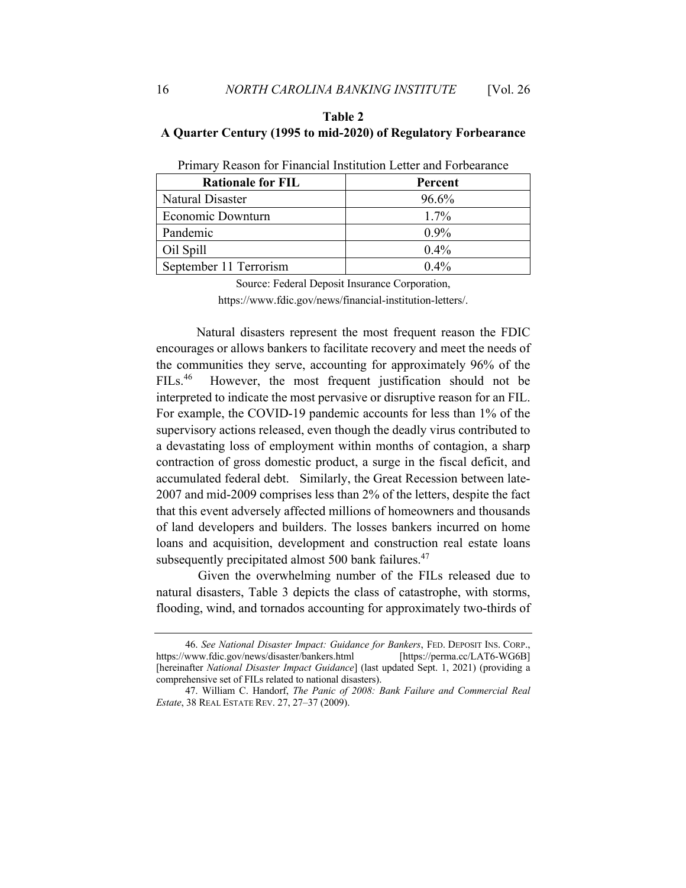# **Table 2 A Quarter Century (1995 to mid-2020) of Regulatory Forbearance**

| <b>Rationale for FIL</b> | Percent |
|--------------------------|---------|
| Natural Disaster         | 96.6%   |
| Economic Downturn        | $1.7\%$ |
| Pandemic                 | $0.9\%$ |
| Oil Spill                | 0.4%    |
| September 11 Terrorism   | $0.4\%$ |

Primary Reason for Financial Institution Letter and Forbearance

Source: Federal Deposit Insurance Corporation, https://www.fdic.gov/news/financial-institution-letters/.

Natural disasters represent the most frequent reason the FDIC encourages or allows bankers to facilitate recovery and meet the needs of the communities they serve, accounting for approximately 96% of the FILs.<sup>46</sup> However, the most frequent justification should not be interpreted to indicate the most pervasive or disruptive reason for an FIL. For example, the COVID-19 pandemic accounts for less than 1% of the supervisory actions released, even though the deadly virus contributed to a devastating loss of employment within months of contagion, a sharp contraction of gross domestic product, a surge in the fiscal deficit, and accumulated federal debt. Similarly, the Great Recession between late-2007 and mid-2009 comprises less than 2% of the letters, despite the fact that this event adversely affected millions of homeowners and thousands of land developers and builders. The losses bankers incurred on home loans and acquisition, development and construction real estate loans subsequently precipitated almost 500 bank failures.<sup>47</sup>

 Given the overwhelming number of the FILs released due to natural disasters, Table 3 depicts the class of catastrophe, with storms, flooding, wind, and tornados accounting for approximately two-thirds of

<sup>46.</sup> *See National Disaster Impact: Guidance for Bankers*, FED. DEPOSIT INS. CORP., https://www.fdic.gov/news/disaster/bankers.html [https://perma.cc/LAT6-WG6B] [hereinafter *National Disaster Impact Guidance*] (last updated Sept. 1, 2021) (providing a comprehensive set of FILs related to national disasters).

<sup>47.</sup> William C. Handorf, *The Panic of 2008: Bank Failure and Commercial Real Estate*, 38 REAL ESTATE REV. 27, 27–37 (2009).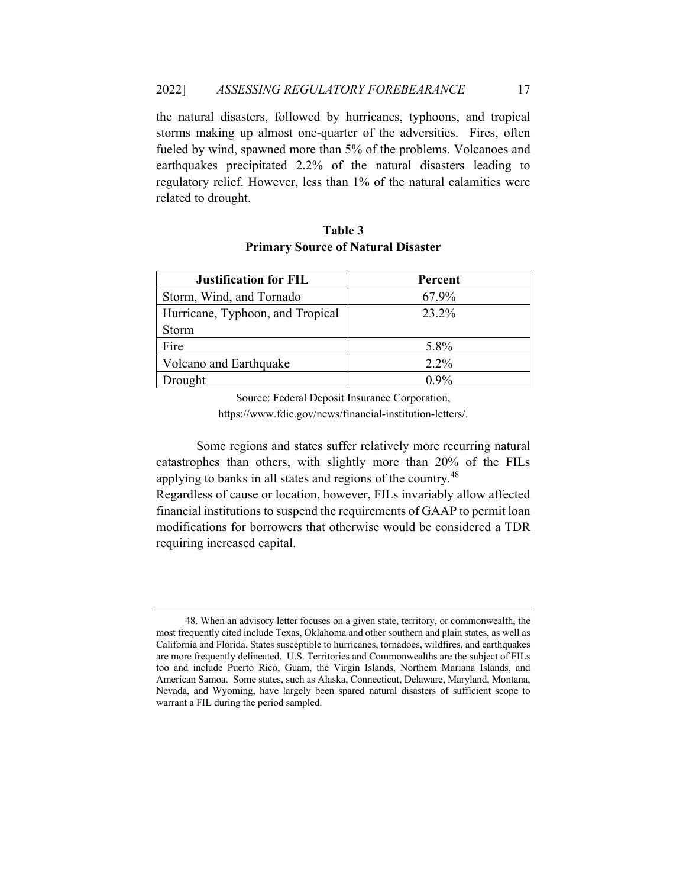the natural disasters, followed by hurricanes, typhoons, and tropical storms making up almost one-quarter of the adversities. Fires, often fueled by wind, spawned more than 5% of the problems. Volcanoes and earthquakes precipitated 2.2% of the natural disasters leading to regulatory relief. However, less than 1% of the natural calamities were related to drought.

| <b>Justification for FIL</b>     | Percent |
|----------------------------------|---------|
| Storm, Wind, and Tornado         | 67.9%   |
| Hurricane, Typhoon, and Tropical | 23.2%   |
| Storm                            |         |
| Fire                             | 5.8%    |
| Volcano and Earthquake           | $2.2\%$ |
| Drought                          | $0.9\%$ |

# **Table 3 Primary Source of Natural Disaster**

Source: Federal Deposit Insurance Corporation,

https://www.fdic.gov/news/financial-institution-letters/.

Some regions and states suffer relatively more recurring natural catastrophes than others, with slightly more than 20% of the FILs applying to banks in all states and regions of the country.<sup>48</sup>

Regardless of cause or location, however, FILs invariably allow affected financial institutions to suspend the requirements of GAAP to permit loan modifications for borrowers that otherwise would be considered a TDR requiring increased capital.

<sup>48.</sup> When an advisory letter focuses on a given state, territory, or commonwealth, the most frequently cited include Texas, Oklahoma and other southern and plain states, as well as California and Florida. States susceptible to hurricanes, tornadoes, wildfires, and earthquakes are more frequently delineated. U.S. Territories and Commonwealths are the subject of FILs too and include Puerto Rico, Guam, the Virgin Islands, Northern Mariana Islands, and American Samoa. Some states, such as Alaska, Connecticut, Delaware, Maryland, Montana, Nevada, and Wyoming, have largely been spared natural disasters of sufficient scope to warrant a FIL during the period sampled.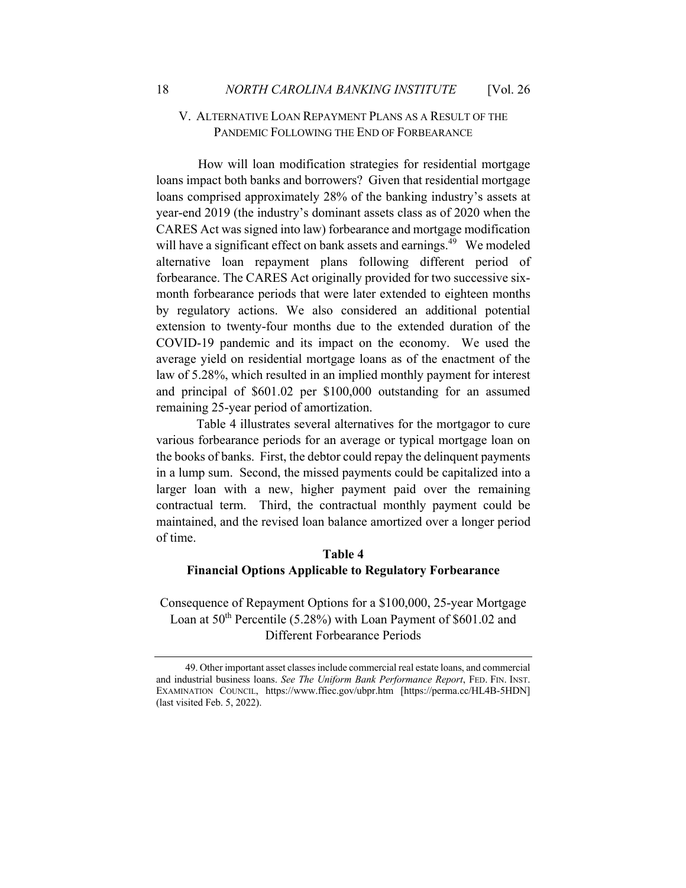# V. ALTERNATIVE LOAN REPAYMENT PLANS AS A RESULT OF THE PANDEMIC FOLLOWING THE END OF FORBEARANCE

 How will loan modification strategies for residential mortgage loans impact both banks and borrowers? Given that residential mortgage loans comprised approximately 28% of the banking industry's assets at year-end 2019 (the industry's dominant assets class as of 2020 when the CARES Act was signed into law) forbearance and mortgage modification will have a significant effect on bank assets and earnings.<sup>49</sup> We modeled alternative loan repayment plans following different period of forbearance. The CARES Act originally provided for two successive sixmonth forbearance periods that were later extended to eighteen months by regulatory actions. We also considered an additional potential extension to twenty-four months due to the extended duration of the COVID-19 pandemic and its impact on the economy. We used the average yield on residential mortgage loans as of the enactment of the law of 5.28%, which resulted in an implied monthly payment for interest and principal of \$601.02 per \$100,000 outstanding for an assumed remaining 25-year period of amortization.

Table 4 illustrates several alternatives for the mortgagor to cure various forbearance periods for an average or typical mortgage loan on the books of banks. First, the debtor could repay the delinquent payments in a lump sum. Second, the missed payments could be capitalized into a larger loan with a new, higher payment paid over the remaining contractual term. Third, the contractual monthly payment could be maintained, and the revised loan balance amortized over a longer period of time.

# **Table 4 Financial Options Applicable to Regulatory Forbearance**

Consequence of Repayment Options for a \$100,000, 25-year Mortgage Loan at  $50<sup>th</sup>$  Percentile (5.28%) with Loan Payment of \$601.02 and Different Forbearance Periods

<sup>49.</sup> Other important asset classes include commercial real estate loans, and commercial and industrial business loans. *See The Uniform Bank Performance Report*, FED. FIN. INST. EXAMINATION COUNCIL, https://www.ffiec.gov/ubpr.htm [https://perma.cc/HL4B-5HDN] (last visited Feb. 5, 2022).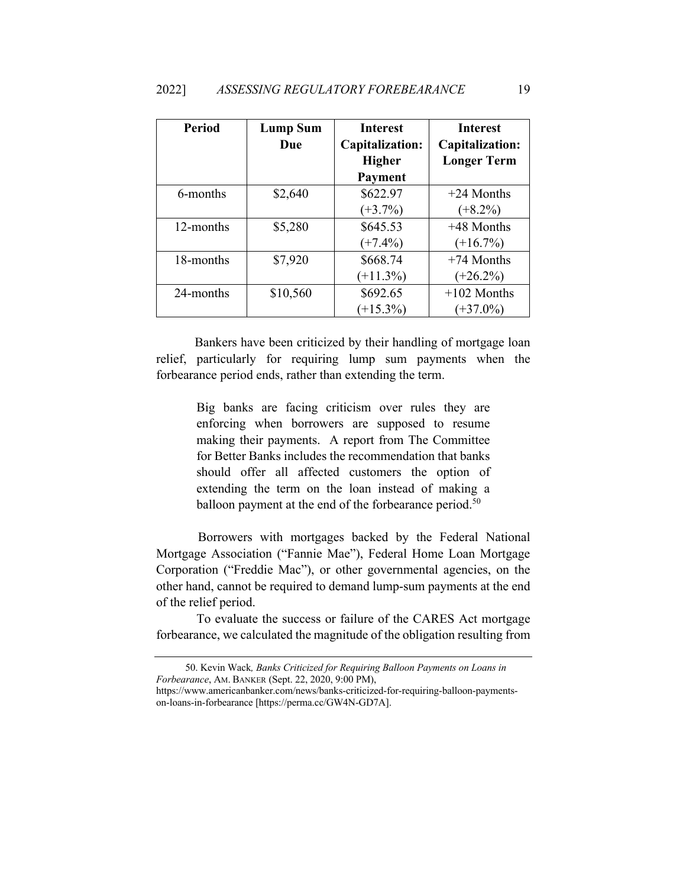| <b>Period</b> | <b>Lump Sum</b><br>Due | <b>Interest</b><br>Capitalization: | <b>Interest</b><br>Capitalization: |
|---------------|------------------------|------------------------------------|------------------------------------|
|               |                        | <b>Higher</b>                      | <b>Longer Term</b>                 |
|               |                        | Payment                            |                                    |
| 6-months      | \$2,640                | \$622.97                           | $+24$ Months                       |
|               |                        | $(+3.7\%)$                         | $(+8.2\%)$                         |
| 12-months     | \$5,280                | \$645.53                           | $+48$ Months                       |
|               |                        | $(+7.4\%)$                         | $(+16.7%)$                         |
| 18-months     | \$7,920                | \$668.74                           | $+74$ Months                       |
|               |                        | $(+11.3\%)$                        | $(+26.2\%)$                        |
| 24-months     | \$10,560               | \$692.65                           | $+102$ Months                      |
|               |                        | $(+15.3\%)$                        | $(+37.0\%)$                        |

 Bankers have been criticized by their handling of mortgage loan relief, particularly for requiring lump sum payments when the forbearance period ends, rather than extending the term.

> Big banks are facing criticism over rules they are enforcing when borrowers are supposed to resume making their payments. A report from The Committee for Better Banks includes the recommendation that banks should offer all affected customers the option of extending the term on the loan instead of making a balloon payment at the end of the forbearance period.<sup>50</sup>

 Borrowers with mortgages backed by the Federal National Mortgage Association ("Fannie Mae"), Federal Home Loan Mortgage Corporation ("Freddie Mac"), or other governmental agencies, on the other hand, cannot be required to demand lump-sum payments at the end of the relief period.

To evaluate the success or failure of the CARES Act mortgage forbearance, we calculated the magnitude of the obligation resulting from

<sup>50.</sup> Kevin Wack*, Banks Criticized for Requiring Balloon Payments on Loans in Forbearance*, AM. BANKER (Sept. 22, 2020, 9:00 PM),

https://www.americanbanker.com/news/banks-criticized-for-requiring-balloon-paymentson-loans-in-forbearance [https://perma.cc/GW4N-GD7A].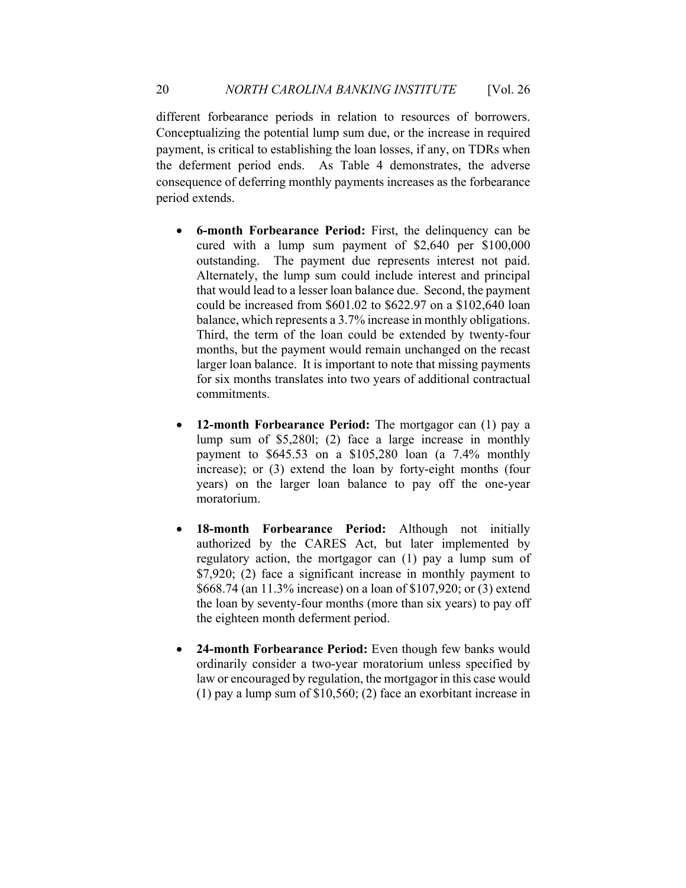different forbearance periods in relation to resources of borrowers. Conceptualizing the potential lump sum due, or the increase in required payment, is critical to establishing the loan losses, if any, on TDRs when the deferment period ends. As Table 4 demonstrates, the adverse consequence of deferring monthly payments increases as the forbearance period extends.

- **6-month Forbearance Period:** First, the delinquency can be cured with a lump sum payment of \$2,640 per \$100,000 outstanding. The payment due represents interest not paid. Alternately, the lump sum could include interest and principal that would lead to a lesser loan balance due. Second, the payment could be increased from \$601.02 to \$622.97 on a \$102,640 loan balance, which represents a 3.7% increase in monthly obligations. Third, the term of the loan could be extended by twenty-four months, but the payment would remain unchanged on the recast larger loan balance. It is important to note that missing payments for six months translates into two years of additional contractual commitments.
- **12-month Forbearance Period:** The mortgagor can (1) pay a lump sum of \$5,280l; (2) face a large increase in monthly payment to \$645.53 on a \$105,280 loan (a 7.4% monthly increase); or (3) extend the loan by forty-eight months (four years) on the larger loan balance to pay off the one-year moratorium.
- **18-month Forbearance Period:** Although not initially authorized by the CARES Act, but later implemented by regulatory action, the mortgagor can (1) pay a lump sum of \$7,920; (2) face a significant increase in monthly payment to \$668.74 (an 11.3% increase) on a loan of \$107,920; or (3) extend the loan by seventy-four months (more than six years) to pay off the eighteen month deferment period.
- **24-month Forbearance Period:** Even though few banks would ordinarily consider a two-year moratorium unless specified by law or encouraged by regulation, the mortgagor in this case would (1) pay a lump sum of \$10,560; (2) face an exorbitant increase in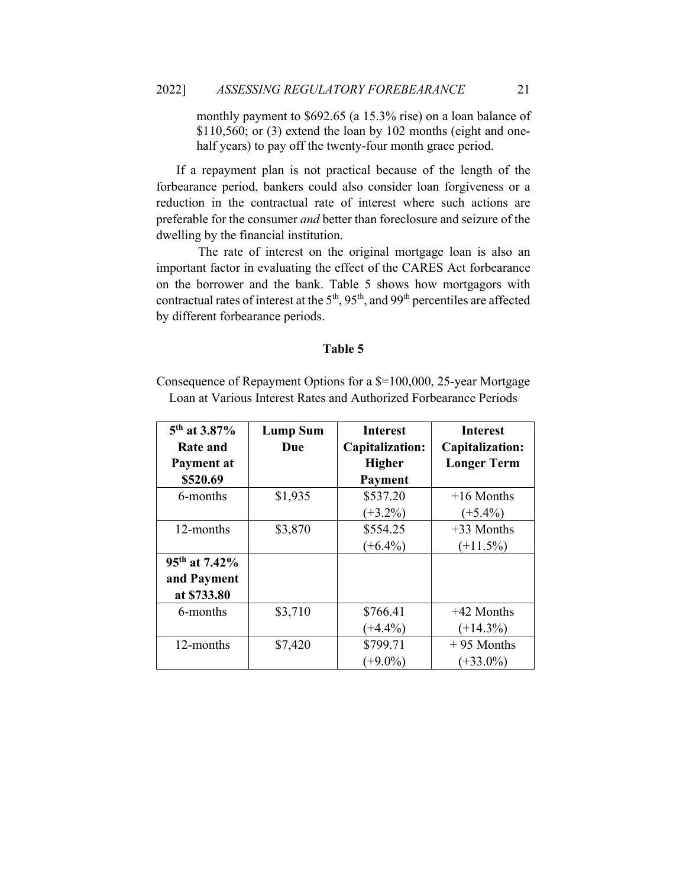monthly payment to \$692.65 (a 15.3% rise) on a loan balance of  $$110,560$ ; or  $(3)$  extend the loan by 102 months (eight and onehalf years) to pay off the twenty-four month grace period.

If a repayment plan is not practical because of the length of the forbearance period, bankers could also consider loan forgiveness or a reduction in the contractual rate of interest where such actions are preferable for the consumer *and* better than foreclosure and seizure of the dwelling by the financial institution.

 The rate of interest on the original mortgage loan is also an important factor in evaluating the effect of the CARES Act forbearance on the borrower and the bank. Table 5 shows how mortgagors with contractual rates of interest at the  $5<sup>th</sup>$ ,  $95<sup>th</sup>$ , and  $99<sup>th</sup>$  percentiles are affected by different forbearance periods.

#### **Table 5**

Consequence of Repayment Options for a \$=100,000, 25-year Mortgage Loan at Various Interest Rates and Authorized Forbearance Periods

| 5 <sup>th</sup> at 3.87%<br><b>Rate and</b><br>Payment at<br>\$520.69 | <b>Lump Sum</b><br>Due | <b>Interest</b><br>Capitalization:<br><b>Higher</b><br>Payment | <b>Interest</b><br>Capitalization:<br><b>Longer Term</b> |
|-----------------------------------------------------------------------|------------------------|----------------------------------------------------------------|----------------------------------------------------------|
| 6-months                                                              | \$1,935                | \$537.20<br>$(+3.2\%)$                                         | $+16$ Months<br>$(+5.4\%)$                               |
| 12-months                                                             | \$3,870                | \$554.25<br>$(+6.4\%)$                                         | +33 Months<br>$(+11.5\%)$                                |
| 95 <sup>th</sup> at 7.42%<br>and Payment<br>at \$733.80               |                        |                                                                |                                                          |
| 6-months                                                              | \$3,710                | \$766.41<br>$(+4.4\%)$                                         | $+42$ Months<br>$(+14.3\%)$                              |
| 12-months                                                             | \$7,420                | \$799.71<br>$(+9.0\%)$                                         | $+95$ Months<br>$(+33.0\%)$                              |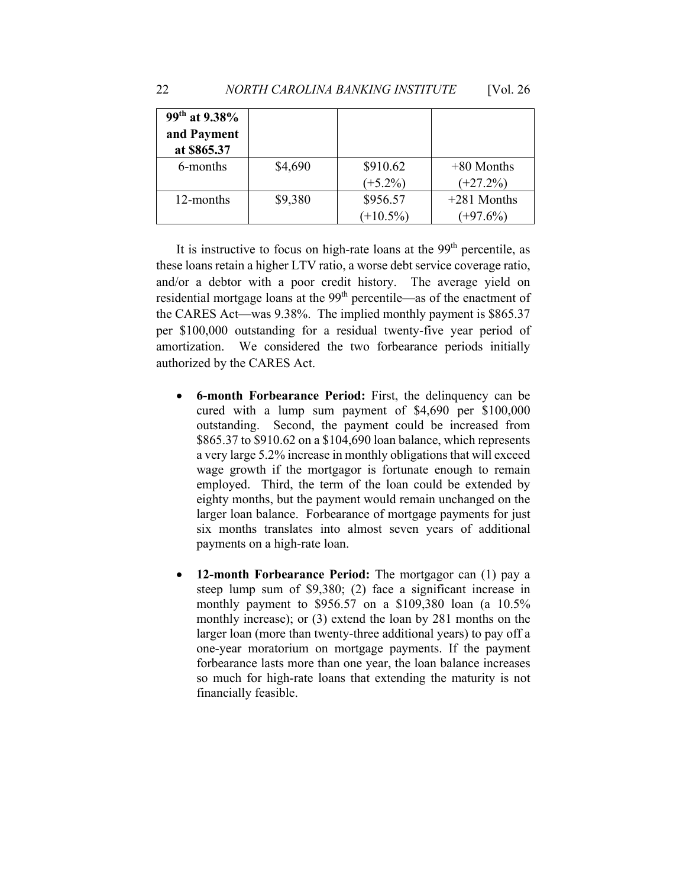| $99^{th}$ at 9.38% |         |             |               |
|--------------------|---------|-------------|---------------|
| and Payment        |         |             |               |
| at \$865.37        |         |             |               |
| 6-months           | \$4,690 | \$910.62    | $+80$ Months  |
|                    |         | $(+5.2\%)$  | $(+27.2\%)$   |
| 12-months          | \$9,380 | \$956.57    | $+281$ Months |
|                    |         | $(+10.5\%)$ | $(+97.6\%)$   |

It is instructive to focus on high-rate loans at the  $99<sup>th</sup>$  percentile, as these loans retain a higher LTV ratio, a worse debt service coverage ratio, and/or a debtor with a poor credit history. The average yield on residential mortgage loans at the 99<sup>th</sup> percentile—as of the enactment of the CARES Act—was 9.38%. The implied monthly payment is \$865.37 per \$100,000 outstanding for a residual twenty-five year period of amortization. We considered the two forbearance periods initially authorized by the CARES Act.

- **6-month Forbearance Period:** First, the delinquency can be cured with a lump sum payment of \$4,690 per \$100,000 outstanding. Second, the payment could be increased from \$865.37 to \$910.62 on a \$104,690 loan balance, which represents a very large 5.2% increase in monthly obligations that will exceed wage growth if the mortgagor is fortunate enough to remain employed. Third, the term of the loan could be extended by eighty months, but the payment would remain unchanged on the larger loan balance. Forbearance of mortgage payments for just six months translates into almost seven years of additional payments on a high-rate loan.
- **12-month Forbearance Period:** The mortgagor can (1) pay a steep lump sum of \$9,380; (2) face a significant increase in monthly payment to \$956.57 on a \$109,380 loan (a 10.5% monthly increase); or (3) extend the loan by 281 months on the larger loan (more than twenty-three additional years) to pay off a one-year moratorium on mortgage payments. If the payment forbearance lasts more than one year, the loan balance increases so much for high-rate loans that extending the maturity is not financially feasible.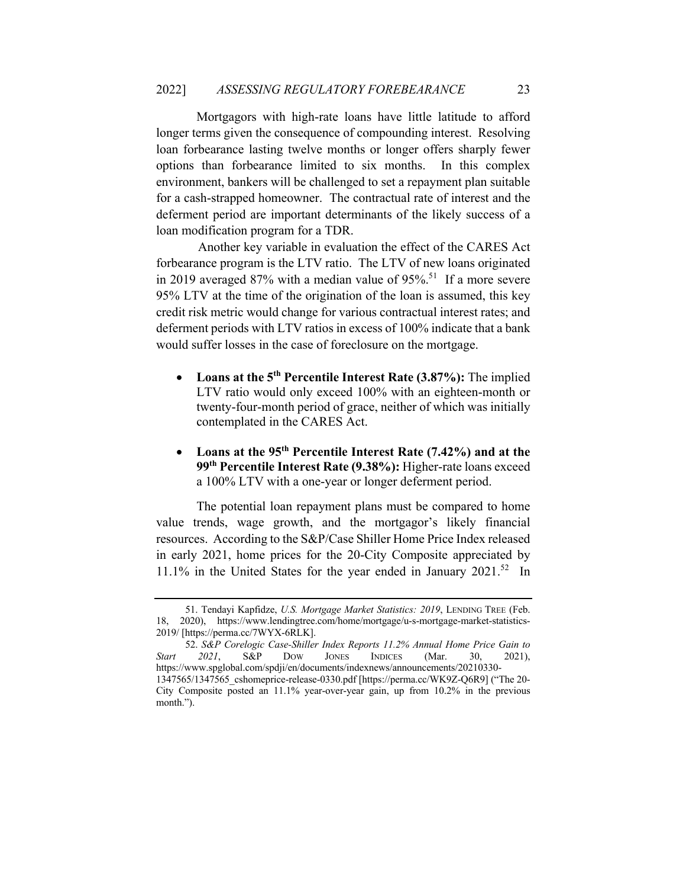Mortgagors with high-rate loans have little latitude to afford longer terms given the consequence of compounding interest. Resolving loan forbearance lasting twelve months or longer offers sharply fewer options than forbearance limited to six months. In this complex environment, bankers will be challenged to set a repayment plan suitable for a cash-strapped homeowner. The contractual rate of interest and the deferment period are important determinants of the likely success of a loan modification program for a TDR.

 Another key variable in evaluation the effect of the CARES Act forbearance program is the LTV ratio. The LTV of new loans originated in 2019 averaged 87% with a median value of  $95\%$ <sup>51</sup> If a more severe 95% LTV at the time of the origination of the loan is assumed, this key credit risk metric would change for various contractual interest rates; and deferment periods with LTV ratios in excess of 100% indicate that a bank would suffer losses in the case of foreclosure on the mortgage.

- **Loans at the 5th Percentile Interest Rate (3.87%):** The implied LTV ratio would only exceed 100% with an eighteen-month or twenty-four-month period of grace, neither of which was initially contemplated in the CARES Act.
- **Loans at the 95th Percentile Interest Rate (7.42%) and at the 99th Percentile Interest Rate (9.38%):** Higher-rate loans exceed a 100% LTV with a one-year or longer deferment period.

The potential loan repayment plans must be compared to home value trends, wage growth, and the mortgagor's likely financial resources. According to the S&P/Case Shiller Home Price Index released in early 2021, home prices for the 20-City Composite appreciated by 11.1% in the United States for the year ended in January 2021.<sup>52</sup> In

<sup>51.</sup> Tendayi Kapfidze, *U.S. Mortgage Market Statistics: 2019*, LENDING TREE (Feb. 18, 2020), https://www.lendingtree.com/home/mortgage/u-s-mortgage-market-statistics-2019/ [https://perma.cc/7WYX-6RLK].

<sup>52.</sup> *S&P Corelogic Case-Shiller Index Reports 11.2% Annual Home Price Gain to Start 2021*, S&P DOW JONES INDICES (Mar. 30, 2021), https://www.spglobal.com/spdji/en/documents/indexnews/announcements/20210330- 1347565/1347565\_cshomeprice-release-0330.pdf [https://perma.cc/WK9Z-Q6R9] ("The 20-

City Composite posted an 11.1% year-over-year gain, up from 10.2% in the previous month.").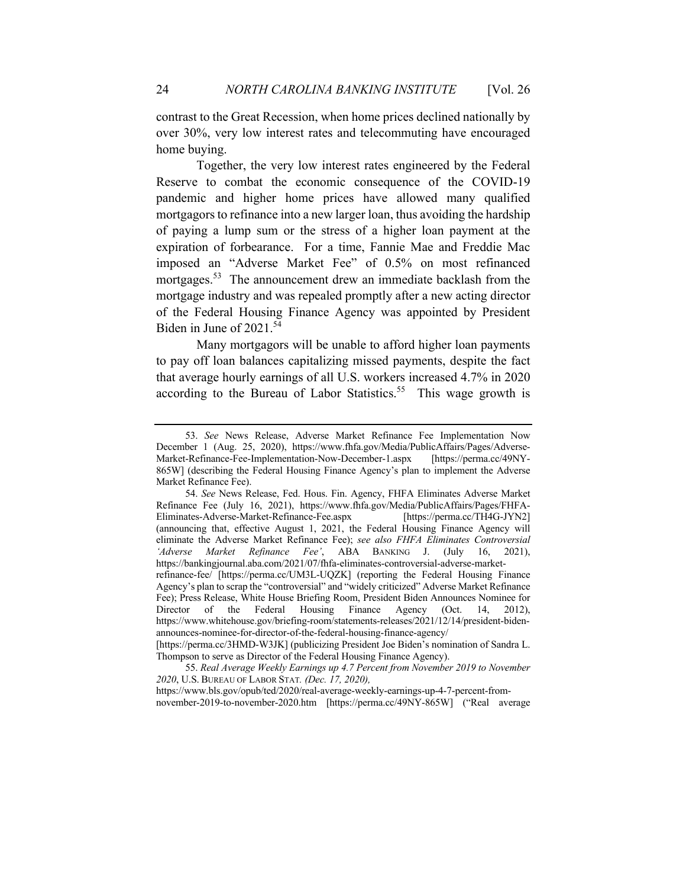contrast to the Great Recession, when home prices declined nationally by over 30%, very low interest rates and telecommuting have encouraged home buying.

Together, the very low interest rates engineered by the Federal Reserve to combat the economic consequence of the COVID-19 pandemic and higher home prices have allowed many qualified mortgagors to refinance into a new larger loan, thus avoiding the hardship of paying a lump sum or the stress of a higher loan payment at the expiration of forbearance. For a time, Fannie Mae and Freddie Mac imposed an "Adverse Market Fee" of 0.5% on most refinanced mortgages.<sup>53</sup> The announcement drew an immediate backlash from the mortgage industry and was repealed promptly after a new acting director of the Federal Housing Finance Agency was appointed by President Biden in June of 2021.<sup>54</sup>

Many mortgagors will be unable to afford higher loan payments to pay off loan balances capitalizing missed payments, despite the fact that average hourly earnings of all U.S. workers increased 4.7% in 2020 according to the Bureau of Labor Statistics.<sup>55</sup> This wage growth is

<sup>53.</sup> *See* News Release, Adverse Market Refinance Fee Implementation Now December 1 (Aug. 25, 2020), https://www.fhfa.gov/Media/PublicAffairs/Pages/Adverse-Market-Refinance-Fee-Implementation-Now-December-1.aspx [https://perma.cc/49NY-865W] (describing the Federal Housing Finance Agency's plan to implement the Adverse Market Refinance Fee).

<sup>54.</sup> *See* News Release, Fed. Hous. Fin. Agency, FHFA Eliminates Adverse Market Refinance Fee (July 16, 2021), https://www.fhfa.gov/Media/PublicAffairs/Pages/FHFA-Eliminates-Adverse-Market-Refinance-Fee.aspx [https://perma.cc/TH4G-JYN2] (announcing that, effective August 1, 2021, the Federal Housing Finance Agency will eliminate the Adverse Market Refinance Fee); *see also FHFA Eliminates Controversial 'Adverse Market Refinance Fee'*, ABA BANKING J. (July 16, 2021), https://bankingjournal.aba.com/2021/07/fhfa-eliminates-controversial-adverse-marketrefinance-fee/ [https://perma.cc/UM3L-UQZK] (reporting the Federal Housing Finance Agency's plan to scrap the "controversial" and "widely criticized" Adverse Market Refinance Fee); Press Release, White House Briefing Room, President Biden Announces Nominee for Director of the Federal Housing Finance Agency (Oct. 14, 2012),

https://www.whitehouse.gov/briefing-room/statements-releases/2021/12/14/president-bidenannounces-nominee-for-director-of-the-federal-housing-finance-agency/ [https://perma.cc/3HMD-W3JK] (publicizing President Joe Biden's nomination of Sandra L.

Thompson to serve as Director of the Federal Housing Finance Agency).

<sup>55.</sup> *Real Average Weekly Earnings up 4.7 Percent from November 2019 to November 2020*, U.S. BUREAU OF LABOR STAT*. (Dec. 17, 2020),* 

https://www.bls.gov/opub/ted/2020/real-average-weekly-earnings-up-4-7-percent-fromnovember-2019-to-november-2020.htm [https://perma.cc/49NY-865W] ("Real average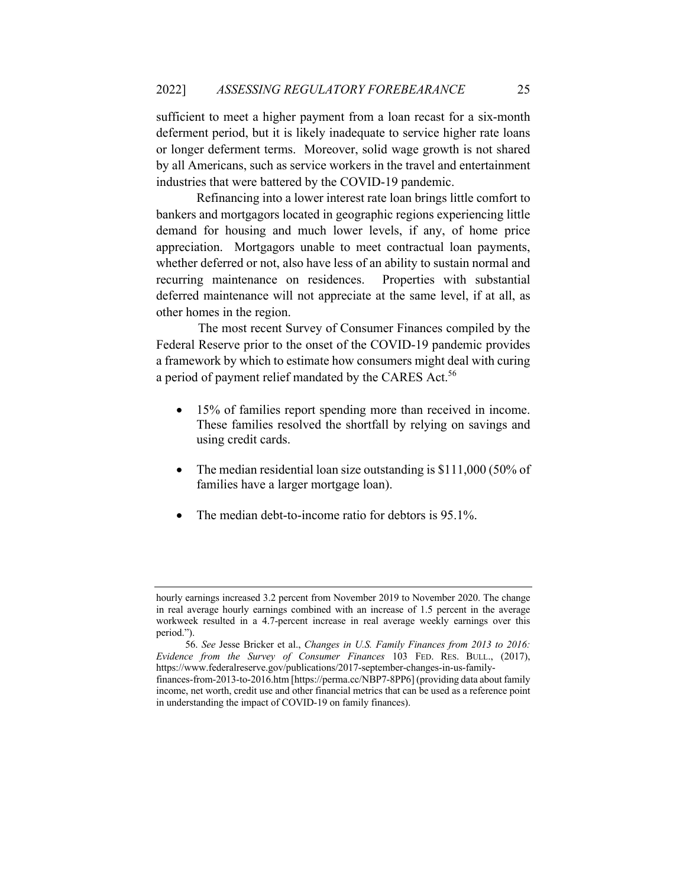sufficient to meet a higher payment from a loan recast for a six-month deferment period, but it is likely inadequate to service higher rate loans or longer deferment terms. Moreover, solid wage growth is not shared by all Americans, such as service workers in the travel and entertainment industries that were battered by the COVID-19 pandemic.

Refinancing into a lower interest rate loan brings little comfort to bankers and mortgagors located in geographic regions experiencing little demand for housing and much lower levels, if any, of home price appreciation. Mortgagors unable to meet contractual loan payments, whether deferred or not, also have less of an ability to sustain normal and recurring maintenance on residences. Properties with substantial deferred maintenance will not appreciate at the same level, if at all, as other homes in the region.

 The most recent Survey of Consumer Finances compiled by the Federal Reserve prior to the onset of the COVID-19 pandemic provides a framework by which to estimate how consumers might deal with curing a period of payment relief mandated by the CARES Act.<sup>56</sup>

- 15% of families report spending more than received in income. These families resolved the shortfall by relying on savings and using credit cards.
- The median residential loan size outstanding is \$111,000 (50% of families have a larger mortgage loan).
- The median debt-to-income ratio for debtors is 95.1%.

hourly earnings increased 3.2 percent from November 2019 to November 2020. The change in real average hourly earnings combined with an increase of 1.5 percent in the average workweek resulted in a 4.7-percent increase in real average weekly earnings over this period.").

<sup>56.</sup> *See* Jesse Bricker et al., *Changes in U.S. Family Finances from 2013 to 2016: Evidence from the Survey of Consumer Finances* 103 FED. RES. BULL., (2017), https://www.federalreserve.gov/publications/2017-september-changes-in-us-family-

finances-from-2013-to-2016.htm [https://perma.cc/NBP7-8PP6] (providing data about family income, net worth, credit use and other financial metrics that can be used as a reference point in understanding the impact of COVID-19 on family finances).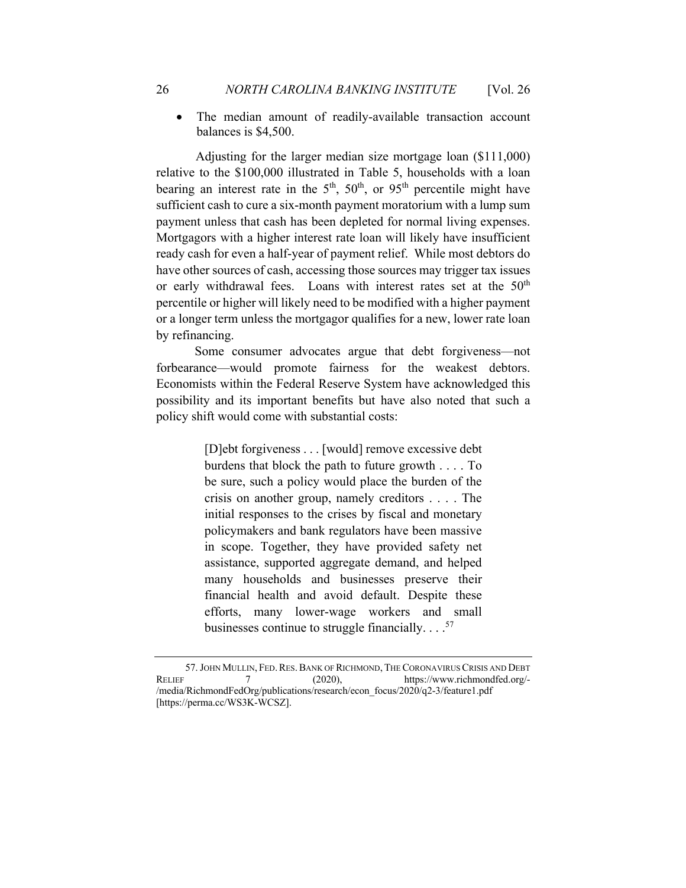• The median amount of readily-available transaction account balances is \$4,500.

 Adjusting for the larger median size mortgage loan (\$111,000) relative to the \$100,000 illustrated in Table 5, households with a loan bearing an interest rate in the  $5<sup>th</sup>$ ,  $50<sup>th</sup>$ , or  $95<sup>th</sup>$  percentile might have sufficient cash to cure a six-month payment moratorium with a lump sum payment unless that cash has been depleted for normal living expenses. Mortgagors with a higher interest rate loan will likely have insufficient ready cash for even a half-year of payment relief. While most debtors do have other sources of cash, accessing those sources may trigger tax issues or early withdrawal fees. Loans with interest rates set at the 50<sup>th</sup> percentile or higher will likely need to be modified with a higher payment or a longer term unless the mortgagor qualifies for a new, lower rate loan by refinancing.

 Some consumer advocates argue that debt forgiveness—not forbearance—would promote fairness for the weakest debtors. Economists within the Federal Reserve System have acknowledged this possibility and its important benefits but have also noted that such a policy shift would come with substantial costs:

> [D]ebt forgiveness . . . [would] remove excessive debt burdens that block the path to future growth . . . . To be sure, such a policy would place the burden of the crisis on another group, namely creditors . . . . The initial responses to the crises by fiscal and monetary policymakers and bank regulators have been massive in scope. Together, they have provided safety net assistance, supported aggregate demand, and helped many households and businesses preserve their financial health and avoid default. Despite these efforts, many lower-wage workers and small businesses continue to struggle financially.  $\ldots$ <sup>57</sup>

<sup>57.</sup> JOHN MULLIN, FED. RES. BANK OF RICHMOND, THE CORONAVIRUS CRISIS AND DEBT RELIEF 7 (2020), https://www.richmondfed.org/-/media/RichmondFedOrg/publications/research/econ\_focus/2020/q2-3/feature1.pdf [https://perma.cc/WS3K-WCSZ].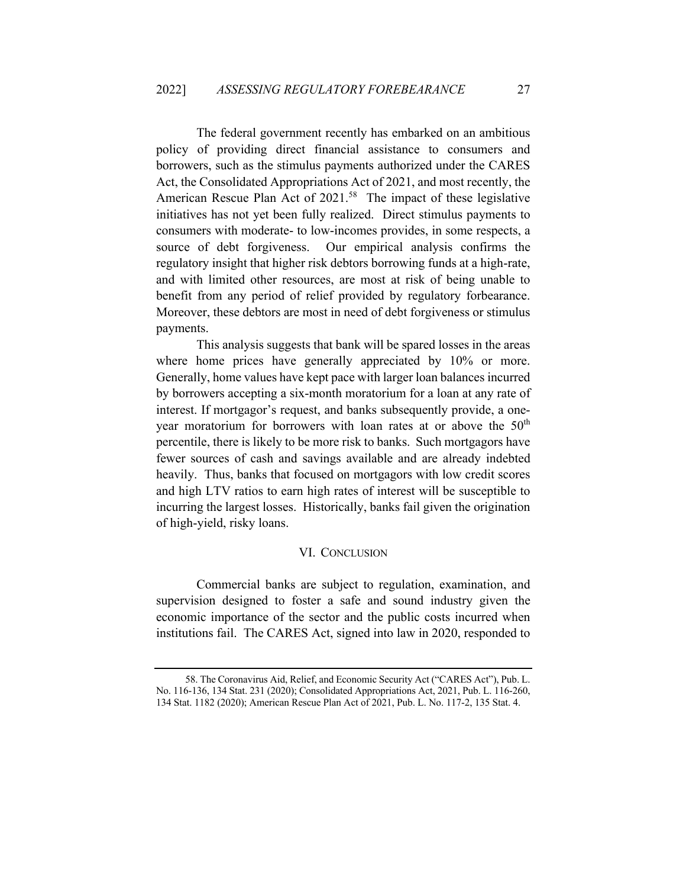The federal government recently has embarked on an ambitious policy of providing direct financial assistance to consumers and borrowers, such as the stimulus payments authorized under the CARES Act, the Consolidated Appropriations Act of 2021, and most recently, the American Rescue Plan Act of 2021.<sup>58</sup> The impact of these legislative initiatives has not yet been fully realized. Direct stimulus payments to consumers with moderate- to low-incomes provides, in some respects, a source of debt forgiveness. Our empirical analysis confirms the regulatory insight that higher risk debtors borrowing funds at a high-rate, and with limited other resources, are most at risk of being unable to benefit from any period of relief provided by regulatory forbearance. Moreover, these debtors are most in need of debt forgiveness or stimulus payments.

This analysis suggests that bank will be spared losses in the areas where home prices have generally appreciated by 10% or more. Generally, home values have kept pace with larger loan balances incurred by borrowers accepting a six-month moratorium for a loan at any rate of interest. If mortgagor's request, and banks subsequently provide, a oneyear moratorium for borrowers with loan rates at or above the 50<sup>th</sup> percentile, there is likely to be more risk to banks. Such mortgagors have fewer sources of cash and savings available and are already indebted heavily. Thus, banks that focused on mortgagors with low credit scores and high LTV ratios to earn high rates of interest will be susceptible to incurring the largest losses. Historically, banks fail given the origination of high-yield, risky loans.

#### VI. CONCLUSION

Commercial banks are subject to regulation, examination, and supervision designed to foster a safe and sound industry given the economic importance of the sector and the public costs incurred when institutions fail. The CARES Act, signed into law in 2020, responded to

<sup>58.</sup> The Coronavirus Aid, Relief, and Economic Security Act ("CARES Act"), Pub. L. No. 116-136, 134 Stat. 231 (2020); Consolidated Appropriations Act, 2021, Pub. L. 116-260, 134 Stat. 1182 (2020); American Rescue Plan Act of 2021, Pub. L. No. 117-2, 135 Stat. 4.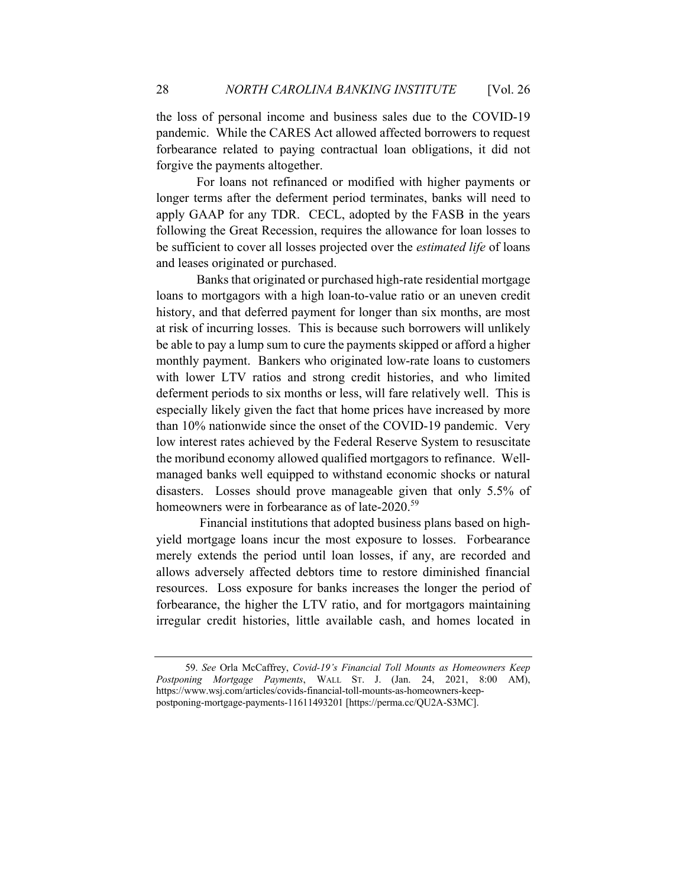the loss of personal income and business sales due to the COVID-19 pandemic. While the CARES Act allowed affected borrowers to request forbearance related to paying contractual loan obligations, it did not forgive the payments altogether.

For loans not refinanced or modified with higher payments or longer terms after the deferment period terminates, banks will need to apply GAAP for any TDR. CECL, adopted by the FASB in the years following the Great Recession, requires the allowance for loan losses to be sufficient to cover all losses projected over the *estimated life* of loans and leases originated or purchased.

Banks that originated or purchased high-rate residential mortgage loans to mortgagors with a high loan-to-value ratio or an uneven credit history, and that deferred payment for longer than six months, are most at risk of incurring losses. This is because such borrowers will unlikely be able to pay a lump sum to cure the payments skipped or afford a higher monthly payment. Bankers who originated low-rate loans to customers with lower LTV ratios and strong credit histories, and who limited deferment periods to six months or less, will fare relatively well. This is especially likely given the fact that home prices have increased by more than 10% nationwide since the onset of the COVID-19 pandemic. Very low interest rates achieved by the Federal Reserve System to resuscitate the moribund economy allowed qualified mortgagors to refinance. Wellmanaged banks well equipped to withstand economic shocks or natural disasters. Losses should prove manageable given that only 5.5% of homeowners were in forbearance as of late-2020.<sup>59</sup>

Financial institutions that adopted business plans based on highyield mortgage loans incur the most exposure to losses. Forbearance merely extends the period until loan losses, if any, are recorded and allows adversely affected debtors time to restore diminished financial resources. Loss exposure for banks increases the longer the period of forbearance, the higher the LTV ratio, and for mortgagors maintaining irregular credit histories, little available cash, and homes located in

<sup>59.</sup> *See* Orla McCaffrey, *Covid-19's Financial Toll Mounts as Homeowners Keep Postponing Mortgage Payments*, WALL ST. J. (Jan. 24, 2021, 8:00 AM), https://www.wsj.com/articles/covids-financial-toll-mounts-as-homeowners-keeppostponing-mortgage-payments-11611493201 [https://perma.cc/QU2A-S3MC].